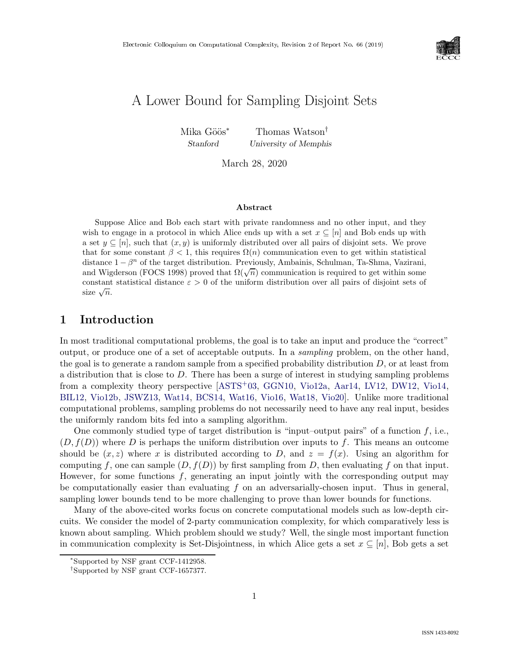

# A Lower Bound for Sampling Disjoint Sets

Mika Göös<sup>∗</sup> Thomas Watson<sup>†</sup> Stanford University of Memphis

March 28, 2020

#### Abstract

Suppose Alice and Bob each start with private randomness and no other input, and they wish to engage in a protocol in which Alice ends up with a set  $x \subseteq [n]$  and Bob ends up with a set  $y \subseteq [n]$ , such that  $(x, y)$  is uniformly distributed over all pairs of disjoint sets. We prove that for some constant  $\beta < 1$ , this requires  $\Omega(n)$  communication even to get within statistical distance  $1 - \beta^n$  of the target distribution. Previously, Ambainis, Schulman, Ta-Shma, Vazirani, and Wigderson (FOCS 1998) proved that  $\Omega(\sqrt{n})$  communication is required to get within some constant statistical distance  $\varepsilon > 0$  of the uniform distribution over all pairs of disjoint sets of size  $\sqrt{n}$ .

# 1 Introduction

In most traditional computational problems, the goal is to take an input and produce the "correct" output, or produce one of a set of acceptable outputs. In a sampling problem, on the other hand, the goal is to generate a random sample from a specified probability distribution  $D$ , or at least from a distribution that is close to D. There has been a surge of interest in studying sampling problems from a complexity theory perspective [\[ASTS](#page--1-0)+03, [GGN10,](#page--1-1) [Vio12a,](#page--1-2) [Aar14,](#page--1-3) [LV12,](#page--1-4) [DW12,](#page--1-5) [Vio14,](#page--1-6) [BIL12,](#page--1-7) [Vio12b,](#page--1-8) [JSWZ13,](#page--1-9) [Wat14,](#page--1-10) [BCS14,](#page--1-11) [Wat16,](#page--1-12) [Vio16,](#page--1-13) [Wat18,](#page--1-5) [Vio20\]](#page--1-14). Unlike more traditional computational problems, sampling problems do not necessarily need to have any real input, besides the uniformly random bits fed into a sampling algorithm.

One commonly studied type of target distribution is "input-output pairs" of a function  $f$ , i.e.,  $(D, f(D))$  where D is perhaps the uniform distribution over inputs to f. This means an outcome should be  $(x, z)$  where x is distributed according to D, and  $z = f(x)$ . Using an algorithm for computing f, one can sample  $(D, f(D))$  by first sampling from D, then evaluating f on that input. However, for some functions  $f$ , generating an input jointly with the corresponding output may be computationally easier than evaluating  $f$  on an adversarially-chosen input. Thus in general, sampling lower bounds tend to be more challenging to prove than lower bounds for functions.

Many of the above-cited works focus on concrete computational models such as low-depth circuits. We consider the model of 2-party communication complexity, for which comparatively less is known about sampling. Which problem should we study? Well, the single most important function in communication complexity is Set-Disjointness, in which Alice gets a set  $x \subseteq [n]$ , Bob gets a set

<sup>∗</sup> Supported by NSF grant CCF-1412958.

<sup>†</sup> Supported by NSF grant CCF-1657377.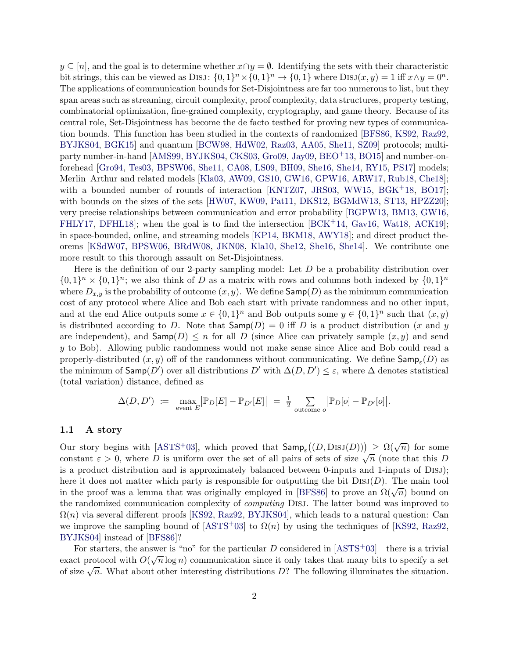$y \subseteq [n]$ , and the goal is to determine whether  $x \cap y = \emptyset$ . Identifying the sets with their characteristic bit strings, this can be viewed as DISJ:  $\{0,1\}^n \times \{0,1\}^n \to \{0,1\}$  where  $\text{DISJ}(x,y) = 1$  iff  $x \wedge y = 0^n$ . The applications of communication bounds for Set-Disjointness are far too numerous to list, but they span areas such as streaming, circuit complexity, proof complexity, data structures, property testing, combinatorial optimization, fine-grained complexity, cryptography, and game theory. Because of its central role, Set-Disjointness has become the de facto testbed for proving new types of communication bounds. This function has been studied in the contexts of randomized [\[BFS86,](#page-17-0) [KS92,](#page-21-0) [Raz92,](#page-21-1) [BYJKS04,](#page-18-0) [BGK15\]](#page-17-1) and quantum [\[BCW98,](#page-16-0) [HdW02,](#page-20-0) [Raz03,](#page-21-2) [AA05,](#page-16-1) [She11,](#page-22-0) [SZ09\]](#page-22-1) protocols; multiparty number-in-hand [\[AMS99,](#page-16-2) [BYJKS04,](#page-18-0) [CKS03,](#page-18-1) [Gro09,](#page-19-0) [Jay09,](#page-20-1) [BEO](#page-17-2)+13, [BO15\]](#page-17-3) and number-onforehead [\[Gro94,](#page-19-1) [Tes03,](#page-22-2) [BPSW06,](#page-18-2) [She11,](#page-22-0) [CA08,](#page-18-3) [LS09,](#page-21-3) [BH09,](#page-17-4) [She16,](#page-22-3) [She14,](#page-22-4) [RY15,](#page-22-5) [PS17\]](#page-21-4) models; Merlin–Arthur and related models [\[Kla03,](#page-20-2) [AW09,](#page-16-3) [GS10,](#page-19-2) [GW16,](#page-19-3) [GPW16,](#page-19-4) [ARW17,](#page-16-4) [Rub18,](#page-21-5) [Che18\]](#page-18-4); with a bounded number of rounds of interaction [\[KNTZ07,](#page-21-6) [JRS03,](#page-20-3) [WW15,](#page--1-15) [BGK](#page-17-5)<sup>+</sup>18, [BO17\]](#page-18-5); with bounds on the sizes of the sets [\[HW07,](#page-20-4) [KW09,](#page-21-7) [Pat11,](#page-21-8) [DKS12,](#page-18-6) [BGMdW13,](#page-17-6) [ST13,](#page-22-6) [HPZZ20\]](#page-20-5); very precise relationships between communication and error probability [\[BGPW13,](#page-17-7) [BM13,](#page-17-8) [GW16,](#page-19-3) [FHLY17,](#page-19-5) [DFHL18\]](#page-18-7); when the goal is to find the intersection [\[BCK](#page-16-5)+14, [Gav16,](#page-19-6) [Wat18,](#page--1-5) [ACK19\]](#page-16-6); in space-bounded, online, and streaming models [\[KP14,](#page-21-9) [BKM18,](#page-17-9) [AWY18\]](#page-16-7); and direct product theorems [\[KSdW07,](#page-21-10) [BPSW06,](#page-18-2) [BRdW08,](#page-18-8) [JKN08,](#page-20-6) [Kla10,](#page-20-7) [She12,](#page-22-7) [She16,](#page-22-3) [She14\]](#page-22-4). We contribute one more result to this thorough assault on Set-Disjointness.

Here is the definition of our 2-party sampling model: Let  $D$  be a probability distribution over  $\{0,1\}^n \times \{0,1\}^n$ ; we also think of D as a matrix with rows and columns both indexed by  $\{0,1\}^n$ where  $D_{x,y}$  is the probability of outcome  $(x, y)$ . We define  $\mathsf{Samp}(D)$  as the minimum communication cost of any protocol where Alice and Bob each start with private randomness and no other input, and at the end Alice outputs some  $x \in \{0,1\}^n$  and Bob outputs some  $y \in \{0,1\}^n$  such that  $(x, y)$ is distributed according to D. Note that  $\textsf{Samp}(D) = 0$  iff D is a product distribution (x and y are independent), and  $\textsf{Samp}(D) \leq n$  for all D (since Alice can privately sample  $(x, y)$  and send y to Bob). Allowing public randomness would not make sense since Alice and Bob could read a properly-distributed  $(x, y)$  off of the randomness without communicating. We define  $\mathsf{Samp}_\varepsilon(D)$  as the minimum of  $\mathsf{Samp}(D')$  over all distributions  $D'$  with  $\Delta(D, D') \leq \varepsilon$ , where  $\Delta$  denotes statistical (total variation) distance, defined as

$$
\Delta(D, D') := \max_{\text{event } E} \left| \mathbb{P}_D[E] - \mathbb{P}_{D'}[E] \right| = \frac{1}{2} \sum_{\text{outcome } o} \left| \mathbb{P}_D[o] - \mathbb{P}_{D'}[o] \right|.
$$

#### 1.1 A story

Our story begins with [\[ASTS](#page-16-8)<sup>+</sup>03], which proved that  $\textsf{Samp}_\varepsilon((D, \text{DISJ}(D))) \ge \Omega(\sqrt{n})$  for some constant  $\varepsilon > 0$ , where D is uniform over the set of all pairs of sets of size  $\sqrt{n}$  (note that this D) is a product distribution and is approximately balanced between 0-inputs and 1-inputs of Disj); here it does not matter which party is responsible for outputting the bit  $DisJ(D)$ . The main tool in the proof was a lemma that was originally employed in [\[BFS86\]](#page-17-0) to prove an  $\Omega(\sqrt{n})$  bound on the randomized communication complexity of computing Disj. The latter bound was improved to  $\Omega(n)$  via several different proofs [\[KS92,](#page-21-0) [Raz92,](#page-21-1) [BYJKS04\]](#page-18-0), which leads to a natural question: Can we improve the sampling bound of [\[ASTS](#page-16-8)<sup>+</sup>03] to  $\Omega(n)$  by using the techniques of [\[KS92,](#page-21-0) [Raz92,](#page-21-1) [BYJKS04\]](#page-18-0) instead of [\[BFS86\]](#page-17-0)?

For starters, the answer is "no" for the particular D considered in  $[ASTS<sup>+</sup>03]$ —there is a trivial exact protocol with  $O(\sqrt{n}\log n)$  communication since it only takes that many bits to specify a set of size  $\sqrt{n}$ . What about other interesting distributions D? The following illuminates the situation.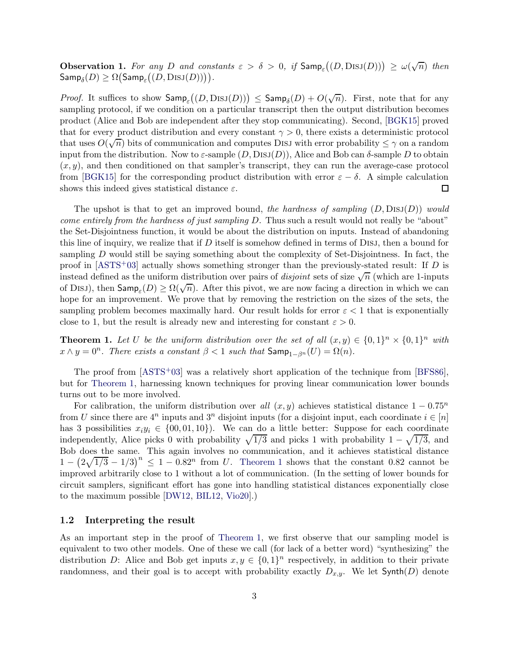**Observation 1.** For any D and constants  $\varepsilon > \delta > 0$ , if  $\textsf{Samp}_{\varepsilon}((D, \text{DISJ}(D))) \ge \omega(\sqrt{n})$  then  $\mathsf{Samp}_\delta(D) \ge \Omega\big(\mathsf{Samp}_\varepsilon\big((D, \mathrm{DisJ}(D))\big)\big).$ 

*Proof.* It suffices to show  $\mathsf{Samp}_\varepsilon((D, \mathrm{DisJ}(D))) \leq \mathsf{Samp}_\delta(D) + O(\sqrt{n})$ . First, note that for any sampling protocol, if we condition on a particular transcript then the output distribution becomes product (Alice and Bob are independent after they stop communicating). Second, [\[BGK15\]](#page-17-1) proved that for every product distribution and every constant  $\gamma > 0$ , there exists a deterministic protocol that uses  $O(\sqrt{n})$  bits of communication and computes Disj with error probability  $\leq \gamma$  on a random input from the distribution. Now to  $\varepsilon$ -sample  $(D, \text{DisJ}(D))$ , Alice and Bob can  $\delta$ -sample D to obtain  $(x, y)$ , and then conditioned on that sampler's transcript, they can run the average-case protocol from [\[BGK15\]](#page-17-1) for the corresponding product distribution with error  $\varepsilon - \delta$ . A simple calculation shows this indeed gives statistical distance  $\varepsilon$ . shows this indeed gives statistical distance  $\varepsilon$ .

The upshot is that to get an improved bound, the hardness of sampling  $(D, \text{DisJ}(D))$  would come entirely from the hardness of just sampling D. Thus such a result would not really be "about" the Set-Disjointness function, it would be about the distribution on inputs. Instead of abandoning this line of inquiry, we realize that if  $D$  itself is somehow defined in terms of DISJ, then a bound for sampling D would still be saying something about the complexity of Set-Disjointness. In fact, the proof in  $[ASTS<sup>+</sup>03]$  actually shows something stronger than the previously-stated result: If D is instead defined as the uniform distribution over pairs of *disjoint* sets of size  $\sqrt{n}$  (which are 1-inputs of Disj, then  $\textsf{Samp}_{\varepsilon}(D) \ge \Omega(\sqrt{n})$ . After this pivot, we are now facing a direction in which we can hope for an improvement. We prove that by removing the restriction on the sizes of the sets, the sampling problem becomes maximally hard. Our result holds for error  $\varepsilon < 1$  that is exponentially close to 1, but the result is already new and interesting for constant  $\varepsilon > 0$ .

<span id="page-2-0"></span>**Theorem 1.** Let U be the uniform distribution over the set of all  $(x, y) \in \{0, 1\}^n \times \{0, 1\}^n$  with  $x \wedge y = 0^n$ . There exists a constant  $\beta < 1$  such that  $\mathsf{Samp}_{1-\beta^n}(U) = \Omega(n)$ .

The proof from  $[ASTS<sup>+</sup>03]$  was a relatively short application of the technique from  $[BFS86]$ , but for [Theorem 1,](#page-2-0) harnessing known techniques for proving linear communication lower bounds turns out to be more involved.

For calibration, the uniform distribution over all  $(x, y)$  achieves statistical distance  $1 - 0.75<sup>n</sup>$ from U since there are  $4^n$  inputs and  $3^n$  disjoint inputs (for a disjoint input, each coordinate  $i \in [n]$ has 3 possibilities  $x_i y_i \in \{00, 01, 10\}$ . We can do a little better: Suppose for each coordinate independently, Alice picks 0 with probability  $\sqrt{1/3}$  and picks 1 with probability  $1 - \sqrt{1/3}$ , and Bob does the same. This again involves no communication, and it achieves statistical distance  $1 - (2\sqrt{1/3} - 1/3)^n \leq 1 - 0.82^n$  from U. [Theorem 1](#page-2-0) shows that the constant 0.82 cannot be improved arbitrarily close to 1 without a lot of communication. (In the setting of lower bounds for circuit samplers, significant effort has gone into handling statistical distances exponentially close to the maximum possible [\[DW12,](#page-19-7) [BIL12,](#page-17-10) [Vio20\]](#page-22-8).)

#### 1.2 Interpreting the result

As an important step in the proof of [Theorem 1,](#page-2-0) we first observe that our sampling model is equivalent to two other models. One of these we call (for lack of a better word) "synthesizing" the distribution D: Alice and Bob get inputs  $x, y \in \{0, 1\}^n$  respectively, in addition to their private randomness, and their goal is to accept with probability exactly  $D_{x,y}$ . We let Synth(D) denote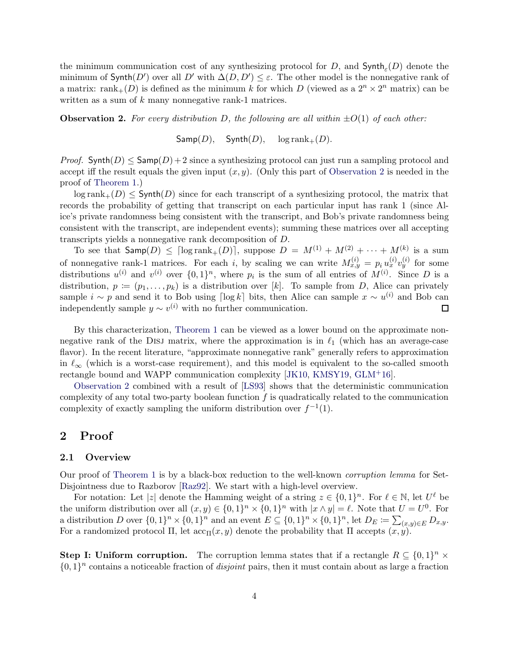the minimum communication cost of any synthesizing protocol for D, and  $\mathsf{Synth}_{\varepsilon}(D)$  denote the minimum of  $\text{Synth}(D')$  over all  $D'$  with  $\Delta(D, D') \leq \varepsilon$ . The other model is the nonnegative rank of a matrix:  $\text{rank}_{+}(D)$  is defined as the minimum k for which D (viewed as a  $2^{n} \times 2^{n}$  matrix) can be written as a sum of  $k$  many nonnegative rank-1 matrices.

<span id="page-3-0"></span>**Observation 2.** For every distribution D, the following are all within  $\pm O(1)$  of each other:

 $Samp(D)$ ,  $Synth(D)$ ,  $log rank_{+}(D)$ .

*Proof.* Synth(D)  $\leq$  Samp(D) + 2 since a synthesizing protocol can just run a sampling protocol and accept iff the result equals the given input  $(x, y)$ . (Only this part of [Observation 2](#page-3-0) is needed in the proof of [Theorem 1.](#page-2-0))

 $\log$  rank $_+(D) \leq$  Synth $(D)$  since for each transcript of a synthesizing protocol, the matrix that records the probability of getting that transcript on each particular input has rank 1 (since Alice's private randomness being consistent with the transcript, and Bob's private randomness being consistent with the transcript, are independent events); summing these matrices over all accepting transcripts yields a nonnegative rank decomposition of D.

To see that  $\mathsf{Samp}(D) \leq \lceil \log \text{rank}_+(D) \rceil$ , suppose  $D = M^{(1)} + M^{(2)} + \cdots + M^{(k)}$  is a sum of nonnegative rank-1 matrices. For each i, by scaling we can write  $M_{x,y}^{(i)} = p_i u_x^{(i)} v_y^{(i)}$  for some distributions  $u^{(i)}$  and  $v^{(i)}$  over  $\{0,1\}^n$ , where  $p_i$  is the sum of all entries of  $M^{(i)}$ . Since D is a distribution,  $p := (p_1, \ldots, p_k)$  is a distribution over [k]. To sample from D, Alice can privately sample  $i \sim p$  and send it to Bob using  $\lceil \log k \rceil$  bits, then Alice can sample  $x \sim u^{(i)}$  and Bob can independently sample  $y \sim v^{(i)}$  with no further communication. П

By this characterization, [Theorem 1](#page-2-0) can be viewed as a lower bound on the approximate nonnegative rank of the DISJ matrix, where the approximation is in  $\ell_1$  (which has an average-case flavor). In the recent literature, "approximate nonnegative rank" generally refers to approximation in  $\ell_{\infty}$  (which is a worst-case requirement), and this model is equivalent to the so-called smooth rectangle bound and WAPP communication complexity [\[JK10,](#page-20-8) [KMSY19,](#page-20-9) [GLM](#page-19-8)+16].

[Observation 2](#page-3-0) combined with a result of [\[LS93\]](#page-21-11) shows that the deterministic communication complexity of any total two-party boolean function  $f$  is quadratically related to the communication complexity of exactly sampling the uniform distribution over  $f^{-1}(1)$ .

# 2 Proof

# 2.1 Overview

Our proof of [Theorem 1](#page-2-0) is by a black-box reduction to the well-known corruption lemma for Set-Disjointness due to Razborov [\[Raz92\]](#page-21-1). We start with a high-level overview.

For notation: Let |z| denote the Hamming weight of a string  $z \in \{0,1\}^n$ . For  $\ell \in \mathbb{N}$ , let  $U^{\ell}$  be the uniform distribution over all  $(x, y) \in \{0, 1\}^n \times \{0, 1\}^n$  with  $|x \wedge y| = \ell$ . Note that  $U = U^0$ . For a distribution D over  $\{0,1\}^n \times \{0,1\}^n$  and an event  $E \subseteq \{0,1\}^n \times \{0,1\}^n$ , let  $D_E := \sum_{(x,y) \in E} D_{x,y}$ . For a randomized protocol  $\Pi$ , let  $\operatorname{acc}_{\Pi}(x, y)$  denote the probability that  $\Pi$  accepts  $(x, y)$ .

Step I: Uniform corruption. The corruption lemma states that if a rectangle  $R \subseteq \{0,1\}^n \times$  $\{0,1\}^n$  contains a noticeable fraction of *disjoint* pairs, then it must contain about as large a fraction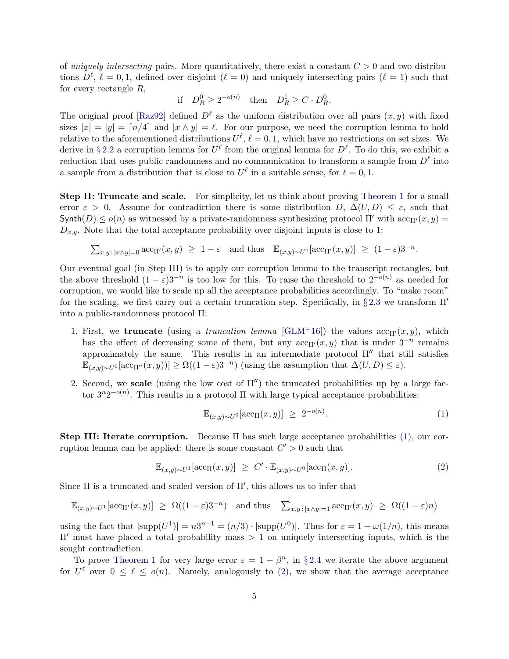of uniquely intersecting pairs. More quantitatively, there exist a constant  $C > 0$  and two distributions  $D^{\ell}, \ell = 0, 1$ , defined over disjoint  $(\ell = 0)$  and uniquely intersecting pairs  $(\ell = 1)$  such that for every rectangle R,

$$
\text{if} \quad D_R^0 \ge 2^{-o(n)} \quad \text{then} \quad D_R^1 \ge C \cdot D_R^0.
$$

The original proof [\[Raz92\]](#page-21-1) defined  $D^{\ell}$  as the uniform distribution over all pairs  $(x, y)$  with fixed sizes  $|x| = |y| = \lfloor n/4 \rfloor$  and  $|x \wedge y| = \ell$ . For our purpose, we need the corruption lemma to hold relative to the aforementioned distributions  $U^{\ell}$ ,  $\ell = 0, 1$ , which have no restrictions on set sizes. We derive in §[2.2](#page-5-0) a corruption lemma for  $U^{\ell}$  from the original lemma for  $D^{\ell}$ . To do this, we exhibit a reduction that uses public randomness and no communication to transform a sample from  $D^{\ell}$  into a sample from a distribution that is close to  $U^{\ell}$  in a suitable sense, for  $\ell = 0, 1$ .

Step II: Truncate and scale. For simplicity, let us think about proving [Theorem 1](#page-2-0) for a small error  $\varepsilon > 0$ . Assume for contradiction there is some distribution D,  $\Delta(U, D) \leq \varepsilon$ , such that Synth(D)  $\leq o(n)$  as witnessed by a private-randomness synthesizing protocol  $\Pi'$  with  $\mathrm{acc}_{\Pi'}(x, y)$  =  $D_{x,y}$ . Note that the total acceptance probability over disjoint inputs is close to 1:

$$
\sum_{x,y \,:\, |x \wedge y|=0} \text{acc}_{\Pi'}(x,y) \geq 1-\varepsilon \quad \text{and thus} \quad \mathbb{E}_{(x,y) \sim U^0}[\text{acc}_{\Pi'}(x,y)] \geq (1-\varepsilon)3^{-n}.
$$

Our eventual goal (in Step III) is to apply our corruption lemma to the transcript rectangles, but the above threshold  $(1 - \varepsilon)3^{-n}$  is too low for this. To raise the threshold to  $2^{-o(n)}$  as needed for corruption, we would like to scale up all the acceptance probabilities accordingly. To "make room" for the scaling, we first carry out a certain truncation step. Specifically, in §[2.3](#page-6-0) we transform  $\Pi'$ into a public-randomness protocol Π:

- 1. First, we **truncate** (using a *truncation lemma* [\[GLM](#page-19-8)<sup>+</sup>16]) the values  $\mathrm{acc}_{\Pi'}(x, y)$ , which has the effect of decreasing some of them, but any  $\operatorname{acc}_{\Pi'}(x, y)$  that is under  $3^{-n}$  remains approximately the same. This results in an intermediate protocol  $\Pi''$  that still satisfies  $\mathbb{E}_{(x,y)\sim U^{0}}[\text{acc}_{\Pi''}(x,y))] \ge \Omega((1-\varepsilon)3^{-n})$  (using the assumption that  $\Delta(U,D) \le \varepsilon$ ).
- 2. Second, we scale (using the low cost of  $\Pi''$ ) the truncated probabilities up by a large factor  $3^n 2^{-o(n)}$ . This results in a protocol  $\Pi$  with large typical acceptance probabilities:

<span id="page-4-1"></span><span id="page-4-0"></span>
$$
\mathbb{E}_{(x,y)\sim U^0}[\text{acc}_{\Pi}(x,y)] \ge 2^{-o(n)}.\tag{1}
$$

Step III: Iterate corruption. Because  $\Pi$  has such large acceptance probabilities [\(1\),](#page-4-0) our corruption lemma can be applied: there is some constant  $C' > 0$  such that

$$
\mathbb{E}_{(x,y)\sim U^1}[\text{acc}_{\Pi}(x,y)] \geq C' \cdot \mathbb{E}_{(x,y)\sim U^0}[\text{acc}_{\Pi}(x,y)]. \tag{2}
$$

Since  $\Pi$  is a truncated-and-scaled version of  $\Pi'$ , this allows us to infer that

$$
\mathbb{E}_{(x,y)\sim U^{1}}[\text{acc}_{\Pi'}(x,y)] \geq \Omega((1-\varepsilon)3^{-n}) \text{ and thus } \sum_{x,y\,:\,|x\wedge y|=1} \text{acc}_{\Pi'}(x,y) \geq \Omega((1-\varepsilon)n)
$$

using the fact that  $|\text{supp}(U^1)| = n3^{n-1} = (n/3) \cdot |\text{supp}(U^0)|$ . Thus for  $\varepsilon = 1 - \omega(1/n)$ , this means Π′ must have placed a total probability mass > 1 on uniquely intersecting inputs, which is the sought contradiction.

To prove [Theorem 1](#page-2-0) for very large error  $\varepsilon = 1 - \beta^n$ , in § [2.4](#page-7-0) we iterate the above argument for  $U^{\ell}$  over  $0 \leq \ell \leq o(n)$ . Namely, analogously to [\(2\),](#page-4-1) we show that the average acceptance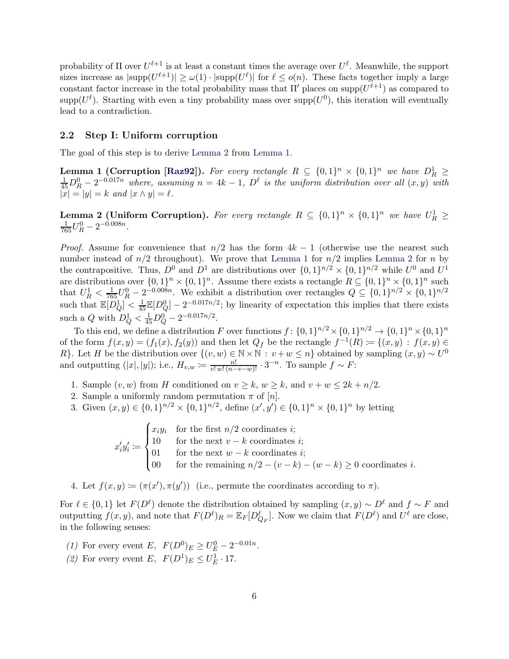probability of  $\Pi$  over  $U^{\ell+1}$  is at least a constant times the average over  $U^{\ell}$ . Meanwhile, the support sizes increase as  $|\text{supp}(U^{\ell+1})| \ge \omega(1) \cdot |\text{supp}(U^{\ell})|$  for  $\ell \le o(n)$ . These facts together imply a large constant factor increase in the total probability mass that  $\Pi'$  places on supp $(U^{\ell+1})$  as compared to  $\text{supp}(U^{\ell})$ . Starting with even a tiny probability mass over  $\text{supp}(U^{0})$ , this iteration will eventually lead to a contradiction.

### <span id="page-5-0"></span>2.2 Step I: Uniform corruption

<span id="page-5-2"></span>The goal of this step is to derive [Lemma 2](#page-5-1) from [Lemma 1.](#page-5-2)

**Lemma 1 (Corruption [\[Raz92\]](#page-21-1)).** For every rectangle  $R \subseteq \{0,1\}^n \times \{0,1\}^n$  we have  $D_R^1 \ge \frac{1}{45}D_R^0 - 2^{-0.017n}$  where, assuming  $n = 4k - 1$ ,  $D^{\ell}$  is the uniform distribution over all  $(x, y)$  with  $|x| = |y| = k$  and  $|x \wedge y| = \ell$ .

<span id="page-5-1"></span>**Lemma 2 (Uniform Corruption).** For every rectangle  $R \subseteq \{0,1\}^n \times \{0,1\}^n$  we have  $U_R^1 \geq$  $\frac{1}{765}U_R^0 - 2^{-0.008n}$ .

*Proof.* Assume for convenience that  $n/2$  has the form  $4k - 1$  (otherwise use the nearest such number instead of  $n/2$  throughout). We prove that [Lemma 1](#page-5-2) for  $n/2$  implies [Lemma 2](#page-5-1) for n by the contrapositive. Thus,  $D^0$  and  $D^1$  are distributions over  $\{0,1\}^{n/2} \times \{0,1\}^{n/2}$  while  $U^0$  and  $U^1$ are distributions over  $\{0,1\}^n \times \{0,1\}^n$ . Assume there exists a rectangle  $R \subseteq \{0,1\}^n \times \{0,1\}^n$  such that  $U_R^1 < \frac{1}{765}U_R^0 - 2^{-0.008n}$ . We exhibit a distribution over rectangles  $Q \subseteq \{0,1\}^{n/2} \times \{0,1\}^{n/2}$ such that  $\mathbb{E}[D_Q^1] < \frac{1}{45} \mathbb{E}[D_Q^0] - 2^{-0.017n/2}$ ; by linearity of expectation this implies that there exists such a Q with  $D_Q^1 < \frac{1}{45}D_Q^0 - 2^{-0.017n/2}$ .

To this end, we define a distribution F over functions  $f: \{0,1\}^{n/2} \times \{0,1\}^{n/2} \to \{0,1\}^n \times \{0,1\}^n$ of the form  $f(x,y) = (f_1(x), f_2(y))$  and then let  $Q_f$  be the rectangle  $f^{-1}(R) := \{(x,y) : f(x,y) \in$ R}. Let H be the distribution over  $\{(v, w) \in \mathbb{N} \times \mathbb{N} : v + w \leq n\}$  obtained by sampling  $(x, y) \sim U^0$ and outputting  $(|x|, |y|)$ ; i.e.,  $H_{v,w} := \frac{n!}{v! \, w! \, (n-v-w)!} \cdot 3^{-n}$ . To sample  $f \sim F$ :

- 1. Sample  $(v, w)$  from H conditioned on  $v \geq k$ ,  $w \geq k$ , and  $v + w \leq 2k + n/2$ .
- 2. Sample a uniformly random permutation  $\pi$  of  $[n]$ .
- 3. Given  $(x, y) \in \{0, 1\}^{n/2} \times \{0, 1\}^{n/2}$ , define  $(x', y') \in \{0, 1\}^n \times \{0, 1\}^n$  by letting

 $x'_i y'_i :=$  $\sqrt{ }$  $\int$  $\overline{\mathcal{L}}$  $x_i y_i$  for the first  $n/2$  coordinates *i*; 10 for the next  $v - k$  coordinates *i*; 01 for the next  $w - k$  coordinates *i*; 00 for the remaining  $n/2 - (v - k) - (w - k) \ge 0$  coordinates *i*.

4. Let  $f(x, y) \coloneqq (\pi(x'), \pi(y'))$  (i.e., permute the coordinates according to  $\pi$ ).

For  $\ell \in \{0,1\}$  let  $F(D^{\ell})$  denote the distribution obtained by sampling  $(x, y) \sim D^{\ell}$  and  $f \sim F$  and outputting  $f(x, y)$ , and note that  $F(D^{\ell})_R = \mathbb{E}_F[D_{Q_F}^{\ell}]$ . Now we claim that  $F(D^{\ell})$  and  $U^{\ell}$  are close, in the following senses:

- (1) For every event E,  $F(D^0)_E \ge U_E^0 2^{-0.01n}$ .
- (2) For every event E,  $F(D^1)_E \leq U_E^1 \cdot 17$ .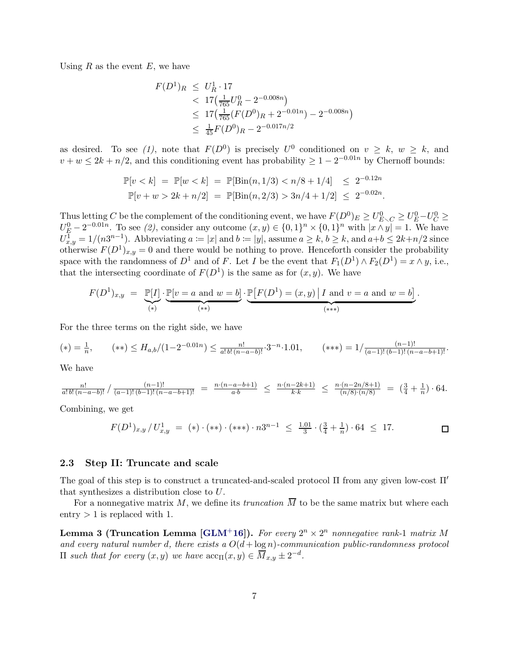Using  $R$  as the event  $E$ , we have

$$
F(D^1)_R \le U_R^1 \cdot 17
$$
  

$$
< 17 \left( \frac{1}{765} U_R^0 - 2^{-0.008n} \right)
$$
  

$$
\le 17 \left( \frac{1}{765} (F(D^0)_R + 2^{-0.01n}) - 2^{-0.008n} \right)
$$
  

$$
\le \frac{1}{45} F(D^0)_R - 2^{-0.017n/2}
$$

as desired. To see (1), note that  $F(D^0)$  is precisely  $U^0$  conditioned on  $v \geq k$ ,  $w \geq k$ , and  $v + w \leq 2k + n/2$ , and this conditioning event has probability  $\geq 1 - 2^{-0.01n}$  by Chernoff bounds:

$$
\mathbb{P}[v < k] = \mathbb{P}[w < k] = \mathbb{P}[\text{Bin}(n, 1/3) < n/8 + 1/4] \le 2^{-0.12n}
$$
\n
$$
\mathbb{P}[v + w > 2k + n/2] = \mathbb{P}[\text{Bin}(n, 2/3) > 3n/4 + 1/2] \le 2^{-0.02n}.
$$

Thus letting C be the complement of the conditioning event, we have  $F(D^0)_E \ge U_{E\setminus C}^0 \ge U_E^0-U_C^0 \ge$  $U_{\underline{F}}^0 - 2^{-0.01n}$ . To see (2), consider any outcome  $(x, y) \in \{0, 1\}^n \times \{0, 1\}^n$  with  $|x \wedge y| = 1$ . We have  $U_{x,y}^1 = 1/(n3^{n-1})$ . Abbreviating  $a \coloneqq |x|$  and  $b \coloneqq |y|$ , assume  $a \geq k$ ,  $b \geq k$ , and  $a+b \leq 2k+n/2$  since otherwise  $F(D^1)_{x,y} = 0$  and there would be nothing to prove. Henceforth consider the probability space with the randomness of  $D^1$  and of F. Let I be the event that  $F_1(D^1) \wedge F_2(D^1) = x \wedge y$ , i.e., that the intersecting coordinate of  $F(D^1)$  is the same as for  $(x, y)$ . We have

$$
F(D^1)_{x,y} = \underbrace{\mathbb{P}[I]}_{(*)} \cdot \underbrace{\mathbb{P}[v = a \text{ and } w = b]}_{(**)} \cdot \underbrace{\mathbb{P}[F(D^1) = (x,y) | I \text{ and } v = a \text{ and } w = b]}_{(***)}.
$$

For the three terms on the right side, we have

$$
(*) = \frac{1}{n}, \qquad (**) \le H_{a,b}/(1-2^{-0.01n}) \le \frac{n!}{a! \, b! \, (n-a-b)!} \cdot 3^{-n} \cdot 1.01, \qquad(***) = 1/\frac{(n-1)!}{(a-1)!(b-1)!(n-a-b+1)!}.
$$

We have

$$
\frac{n!}{a! \, b! \, (n-a-b)!} / \frac{(n-1)!}{(a-1)! \, (b-1)! \, (n-a-b+1)!} = \frac{n \cdot (n-a-b+1)}{a \cdot b} \le \frac{n \cdot (n-2k+1)}{k \cdot k} \le \frac{n \cdot (n-2n/8+1)}{(n/8) \cdot (n/8)} = \left(\frac{3}{4} + \frac{1}{n}\right) \cdot 64.
$$

Combining, we get

$$
F(D^{1})_{x,y}/U^{1}_{x,y} = (*) \cdot (**) \cdot (**) \cdot n3^{n-1} \le \frac{1.01}{3} \cdot (\frac{3}{4} + \frac{1}{n}) \cdot 64 \le 17.
$$

#### <span id="page-6-0"></span>2.3 Step II: Truncate and scale

The goal of this step is to construct a truncated-and-scaled protocol Π from any given low-cost Π′ that synthesizes a distribution close to U.

<span id="page-6-1"></span>For a nonnegative matrix  $M$ , we define its *truncation*  $\overline{M}$  to be the same matrix but where each entry  $> 1$  is replaced with 1.

Lemma 3 (Truncation Lemma [\[GLM](#page-19-8)<sup>+</sup>16]). For every  $2^n \times 2^n$  nonnegative rank-1 matrix M and every natural number d, there exists a  $O(d + \log n)$ -communication public-randomness protocol  $\Pi$  such that for every  $(x, y)$  we have  $\mathrm{acc}_{\Pi}(x, y) \in \overline{M}_{x,y} \pm 2^{-d}$ .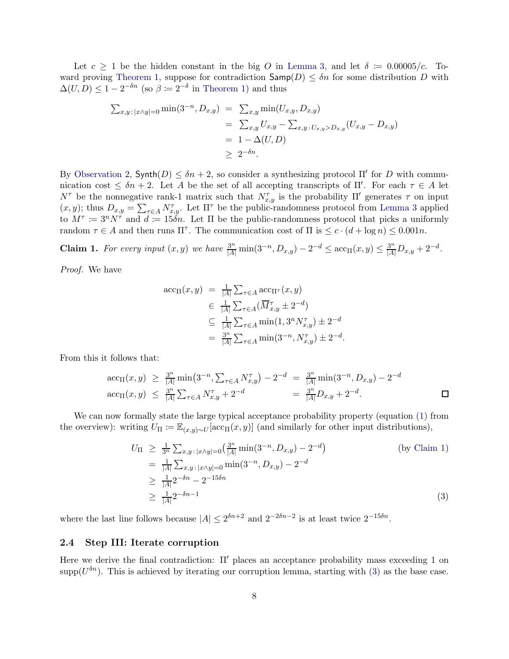Let  $c \geq 1$  be the hidden constant in the big O in [Lemma 3,](#page-6-1) and let  $\delta = 0.00005/c$ . To-ward proving [Theorem 1,](#page-2-0) suppose for contradiction  $\mathsf{Samp}(D) \leq \delta n$  for some distribution D with  $\Delta(U, D) \leq 1 - 2^{-\delta n}$  (so  $\beta \coloneqq 2^{-\delta}$  in [Theorem 1\)](#page-2-0) and thus

$$
\sum_{x,y: |x \wedge y| = 0} \min(3^{-n}, D_{x,y}) = \sum_{x,y} \min(U_{x,y}, D_{x,y})
$$
  
=  $\sum_{x,y} U_{x,y} - \sum_{x,y: U_{x,y} > D_{x,y}} (U_{x,y} - D_{x,y})$   
=  $1 - \Delta(U, D)$   
 $\geq 2^{-\delta n}.$ 

By [Observation 2,](#page-3-0)  $\mathsf{Synth}(D) \leq \delta n + 2$ , so consider a synthesizing protocol  $\Pi'$  for D with communication cost  $\leq \delta n + 2$ . Let A be the set of all accepting transcripts of  $\Pi'$ . For each  $\tau \in A$  let  $N^{\tau}$  be the nonnegative rank-1 matrix such that  $N^{\tau}_{x,y}$  is the probability Π' generates  $\tau$  on input  $(x, y)$ ; thus  $D_{x,y} = \sum_{\tau \in A} N_{x,y}^{\tau}$ . Let  $\Pi^{\tau}$  be the public-randomness protocol from [Lemma 3](#page-6-1) applied to  $M^{\tau} := 3^{n} N^{\tau}$  and  $d := 15\tilde{\delta}n$ . Let  $\Pi$  be the public-randomness protocol that picks a uniformly random  $\tau \in A$  and then runs  $\Pi^{\tau}$ . The communication cost of  $\Pi$  is  $\leq c \cdot (d + \log n) \leq 0.001n$ .

<span id="page-7-1"></span>**Claim 1.** For every input  $(x, y)$  we have  $\frac{3^n}{|A|} \min(3^{-n}, D_{x,y}) - 2^{-d} \leq \arccos(x, y) \leq \frac{3^n}{|A|} D_{x,y} + 2^{-d}$ .

Proof. We have

$$
\begin{array}{rcl}\n\text{acc}_{\Pi}(x, y) & = & \frac{1}{|A|} \sum_{\tau \in A} \text{acc}_{\Pi^{\tau}}(x, y) \\
& \in & \frac{1}{|A|} \sum_{\tau \in A} (\overline{M}_{x, y}^{\tau} \pm 2^{-d}) \\
& \subseteq & \frac{1}{|A|} \sum_{\tau \in A} \min(1, 3^{n} N_{x, y}^{\tau}) \pm 2^{-d} \\
& = & \frac{3^{n}}{|A|} \sum_{\tau \in A} \min(3^{-n}, N_{x, y}^{\tau}) \pm 2^{-d}.\n\end{array}
$$

From this it follows that:

$$
\begin{array}{rcl}\n\arctan(x,y) & \geq & \frac{3^n}{|A|} \min\left(3^{-n}, \sum_{\tau \in A} N_{x,y}^{\tau}\right) - 2^{-d} \\
& = & \frac{3^n}{|A|} \min\left(3^{-n}, D_{x,y}\right) - 2^{-d} \\
\arctan(x,y) & \leq & \frac{3^n}{|A|} \sum_{\tau \in A} N_{x,y}^{\tau} + 2^{-d} \\
& = & \frac{3^n}{|A|} D_{x,y} + 2^{-d}.\n\end{array}
$$

We can now formally state the large typical acceptance probability property (equation [\(1\)](#page-4-0) from the overview): writing  $U_{\Pi} \coloneqq \mathbb{E}_{(x,y)\sim U}[\text{acc}_{\Pi}(x,y)]$  (and similarly for other input distributions),

<span id="page-7-2"></span>
$$
U_{\Pi} \ge \frac{1}{3^n} \sum_{x,y \colon |x \wedge y| = 0} \left(\frac{3^n}{|A|} \min(3^{-n}, D_{x,y}) - 2^{-d}\right)
$$
\n
$$
= \frac{1}{|A|} \sum_{x,y \colon |x \wedge y| = 0} \min(3^{-n}, D_{x,y}) - 2^{-d}
$$
\n
$$
\ge \frac{1}{|A|} 2^{-\delta n} - 2^{-15\delta n}
$$
\n
$$
\ge \frac{1}{|A|} 2^{-\delta n - 1}
$$
\n(3)

where the last line follows because  $|A| \leq 2^{\delta n+2}$  and  $2^{-2\delta n-2}$  is at least twice  $2^{-15\delta n}$ .

#### <span id="page-7-0"></span>2.4 Step III: Iterate corruption

Here we derive the final contradiction: Π′ places an acceptance probability mass exceeding 1 on supp( $U^{\delta n}$ ). This is achieved by iterating our corruption lemma, starting with [\(3\)](#page-7-2) as the base case.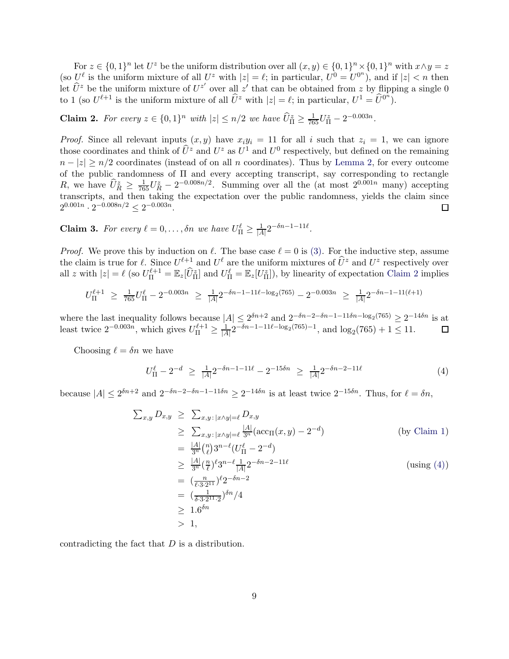For  $z \in \{0,1\}^n$  let  $U^z$  be the uniform distribution over all  $(x, y) \in \{0,1\}^n \times \{0,1\}^n$  with  $x \wedge y = z$ (so  $U^{\ell}$  is the uniform mixture of all  $U^z$  with  $|z| = \ell$ ; in particular,  $U^0 = U^{0^n}$ ), and if  $|z| < n$  then let  $\hat{U}^z$  be the uniform mixture of  $U^{z'}$  over all z' that can be obtained from z by flipping a single 0 to 1 (so  $U^{\ell+1}$  is the uniform mixture of all  $\hat{U}^z$  with  $|z| = \ell$ ; in particular,  $U^1 = \hat{U}^{0^n}$ ).

<span id="page-8-0"></span>**Claim 2.** For every  $z \in \{0,1\}^n$  with  $|z| \le n/2$  we have  $\widehat{U}_{\Pi}^z \ge \frac{1}{765} U_{\Pi}^z - 2^{-0.003n}$ .

*Proof.* Since all relevant inputs  $(x, y)$  have  $x_i y_i = 11$  for all i such that  $z_i = 1$ , we can ignore those coordinates and think of  $\hat{U}^z$  and  $U^z$  as  $U^1$  and  $U^0$  respectively, but defined on the remaining  $n - |z| \ge n/2$  coordinates (instead of on all n coordinates). Thus by [Lemma 2,](#page-5-1) for every outcome of the public randomness of Π and every accepting transcript, say corresponding to rectangle R, we have  $\hat{U}_R^z \geq \frac{1}{765}U_R^z - 2^{-0.008n/2}$ . Summing over all the (at most  $2^{0.001n}$  many) accepting transcripts, and then taking the expectation over the public randomness, yields the claim since  $2^{0.001n} \cdot 2^{-0.008n/2} \leq 2^{-0.003n}.$  $\Box$ 

**Claim 3.** For every  $\ell = 0, \ldots, \delta n$  we have  $U_{\Pi}^{\ell} \geq \frac{1}{|A|}$  $\frac{1}{|A|} 2^{-\delta n - 1 - 11\ell}$ .

*Proof.* We prove this by induction on  $\ell$ . The base case  $\ell = 0$  is [\(3\).](#page-7-2) For the inductive step, assume the claim is true for  $\ell$ . Since  $U^{\ell+1}$  and  $U^{\ell}$  are the uniform mixtures of  $\hat{U}^z$  and  $U^z$  respectively over all z with  $|z| = \ell$  (so  $U_{\Pi}^{\ell+1} = \mathbb{E}_z[\tilde{U}_{\Pi}^z]$  and  $U_{\Pi}^{\ell} = \mathbb{E}_z[U_{\Pi}^z]$ ), by linearity of expectation [Claim 2](#page-8-0) implies

$$
U_{\Pi}^{\ell+1} \ \geq \ \tfrac{1}{765} U_{\Pi}^{\ell} - 2^{-0.003n} \ \geq \ \tfrac{1}{|A|} 2^{-\delta n - 1 - 11\ell - \log_2(765)} - 2^{-0.003n} \ \geq \ \tfrac{1}{|A|} 2^{-\delta n - 1 - 11(\ell+1)}
$$

where the last inequality follows because  $|A| \leq 2^{\delta n+2}$  and  $2^{-\delta n-2-\delta n-1-11\delta n-\log_2(765)} \geq 2^{-14\delta n}$  is at least twice  $2^{-0.003n}$ , which gives  $U_{\Pi}^{\ell+1} \ge \frac{1}{|A|} 2^{-\delta n - 1 - 11\ell - \log_2(765) - 1}$ , and  $\log_2(765) + 1 \le 11$ .

Choosing  $\ell = \delta n$  we have

<span id="page-8-1"></span>
$$
U_{\Pi}^{\ell} - 2^{-d} \ge \frac{1}{|A|} 2^{-\delta n - 1 - 11\ell} - 2^{-15\delta n} \ge \frac{1}{|A|} 2^{-\delta n - 2 - 11\ell} \tag{4}
$$

because  $|A| \le 2^{\delta n+2}$  and  $2^{-\delta n-2-\delta n-1-11\delta n} \ge 2^{-14\delta n}$  is at least twice  $2^{-15\delta n}$ . Thus, for  $\ell = \delta n$ ,

$$
\sum_{x,y} D_{x,y} \geq \sum_{x,y : |x \wedge y| = \ell} D_{x,y}
$$
\n
$$
\geq \sum_{x,y : |x \wedge y| = \ell} \frac{|A|}{3^n} (\operatorname{acc}_{\Pi}(x,y) - 2^{-d})
$$
\n
$$
= \frac{|A|}{3^n} {n \choose \ell} 3^{n-\ell} (U_{\Pi}^{\ell} - 2^{-d})
$$
\n
$$
\geq \frac{|A|}{3^n} (\frac{n}{\ell})^{\ell} 3^{n-\ell} \frac{1}{|A|} 2^{-\delta n - 2 - 11\ell}
$$
\n
$$
= (\frac{n}{\ell \cdot 3 \cdot 2^{11}})^{\ell} 2^{-\delta n - 2}
$$
\n
$$
= (\frac{1}{\delta \cdot 3 \cdot 2^{11} \cdot 2})^{\delta n} / 4
$$
\n
$$
\geq 1.6^{\delta n}
$$
\n
$$
> 1,
$$
\n(using (4))

contradicting the fact that  $D$  is a distribution.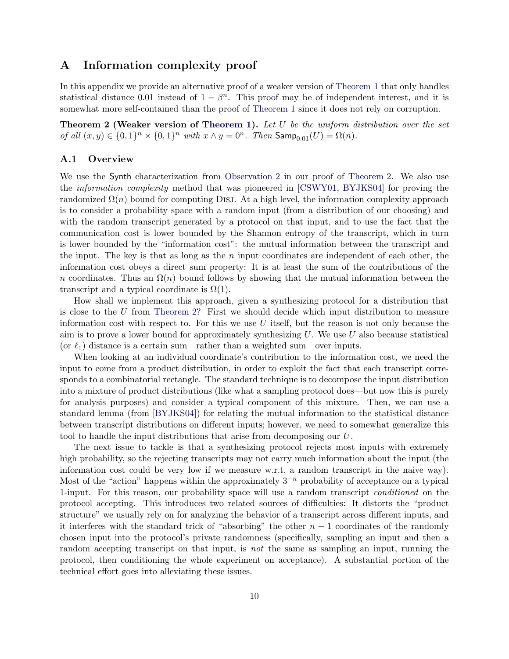# A Information complexity proof

In this appendix we provide an alternative proof of a weaker version of [Theorem 1](#page-2-0) that only handles statistical distance 0.01 instead of  $1 - \beta^n$ . This proof may be of independent interest, and it is somewhat more self-contained than the proof of [Theorem 1](#page-2-0) since it does not rely on corruption.

<span id="page-9-0"></span>**Theorem 2 (Weaker version of [Theorem 1\)](#page-2-0).** Let  $U$  be the uniform distribution over the set of all  $(x, y) \in \{0, 1\}^n \times \{0, 1\}^n$  with  $x \wedge y = 0^n$ . Then  $\mathsf{Samp}_{0.01}(U) = \Omega(n)$ .

### A.1 Overview

We use the Synth characterization from [Observation 2](#page-3-0) in our proof of [Theorem 2.](#page-9-0) We also use the information complexity method that was pioneered in [\[CSWY01,](#page-18-9) [BYJKS04\]](#page-18-0) for proving the randomized  $\Omega(n)$  bound for computing DISJ. At a high level, the information complexity approach is to consider a probability space with a random input (from a distribution of our choosing) and with the random transcript generated by a protocol on that input, and to use the fact that the communication cost is lower bounded by the Shannon entropy of the transcript, which in turn is lower bounded by the "information cost": the mutual information between the transcript and the input. The key is that as long as the  $n$  input coordinates are independent of each other, the information cost obeys a direct sum property: It is at least the sum of the contributions of the n coordinates. Thus an  $\Omega(n)$  bound follows by showing that the mutual information between the transcript and a typical coordinate is  $\Omega(1)$ .

How shall we implement this approach, given a synthesizing protocol for a distribution that is close to the U from [Theorem 2?](#page-9-0) First we should decide which input distribution to measure information cost with respect to. For this we use  $U$  itself, but the reason is not only because the aim is to prove a lower bound for approximately synthesizing  $U$ . We use  $U$  also because statistical (or  $\ell_1$ ) distance is a certain sum—rather than a weighted sum—over inputs.

When looking at an individual coordinate's contribution to the information cost, we need the input to come from a product distribution, in order to exploit the fact that each transcript corresponds to a combinatorial rectangle. The standard technique is to decompose the input distribution into a mixture of product distributions (like what a sampling protocol does—but now this is purely for analysis purposes) and consider a typical component of this mixture. Then, we can use a standard lemma (from [\[BYJKS04\]](#page-18-0)) for relating the mutual information to the statistical distance between transcript distributions on different inputs; however, we need to somewhat generalize this tool to handle the input distributions that arise from decomposing our U.

The next issue to tackle is that a synthesizing protocol rejects most inputs with extremely high probability, so the rejecting transcripts may not carry much information about the input (the information cost could be very low if we measure w.r.t. a random transcript in the naive way). Most of the "action" happens within the approximately  $3^{-n}$  probability of acceptance on a typical 1-input. For this reason, our probability space will use a random transcript conditioned on the protocol accepting. This introduces two related sources of difficulties: It distorts the "product structure" we usually rely on for analyzing the behavior of a transcript across different inputs, and it interferes with the standard trick of "absorbing" the other  $n - 1$  coordinates of the randomly chosen input into the protocol's private randomness (specifically, sampling an input and then a random accepting transcript on that input, is not the same as sampling an input, running the protocol, then conditioning the whole experiment on acceptance). A substantial portion of the technical effort goes into alleviating these issues.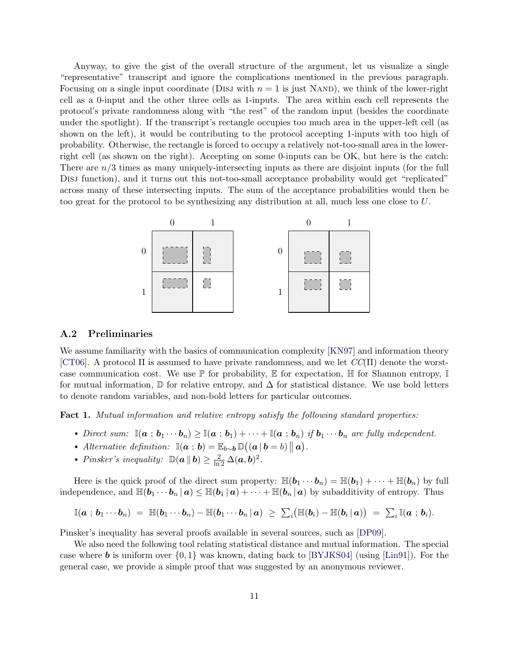Anyway, to give the gist of the overall structure of the argument, let us visualize a single "representative" transcript and ignore the complications mentioned in the previous paragraph. Focusing on a single input coordinate (DISJ with  $n = 1$  is just NAND), we think of the lower-right cell as a 0-input and the other three cells as 1-inputs. The area within each cell represents the protocol's private randomness along with "the rest" of the random input (besides the coordinate under the spotlight). If the transcript's rectangle occupies too much area in the upper-left cell (as shown on the left), it would be contributing to the protocol accepting 1-inputs with too high of probability. Otherwise, the rectangle is forced to occupy a relatively not-too-small area in the lowerright cell (as shown on the right). Accepting on some 0-inputs can be OK, but here is the catch: There are  $n/3$  times as many uniquely-intersecting inputs as there are disjoint inputs (for the full Disj function), and it turns out this not-too-small acceptance probability would get "replicated" across many of these intersecting inputs. The sum of the acceptance probabilities would then be too great for the protocol to be synthesizing any distribution at all, much less one close to U.



### A.2 Preliminaries

We assume familiarity with the basics of communication complexity  $[KN97]$  and information theory [\[CT06\]](#page-18-10). A protocol  $\Pi$  is assumed to have private randomness, and we let  $CC(\Pi)$  denote the worstcase communication cost. We use  $\mathbb P$  for probability,  $\mathbb E$  for expectation,  $\mathbb H$  for Shannon entropy,  $\mathbb I$ for mutual information,  $\mathbb D$  for relative entropy, and  $\Delta$  for statistical distance. We use bold letters to denote random variables, and non-bold letters for particular outcomes.

<span id="page-10-0"></span>Fact 1. Mutual information and relative entropy satisfy the following standard properties:

- Direct sum:  $\mathbb{I}(a ; b_1 \cdots b_n) \geq \mathbb{I}(a ; b_1) + \cdots + \mathbb{I}(a ; b_n)$  if  $b_1 \cdots b_n$  are fully independent.
- Alternative definition:  $\mathbb{I}(\boldsymbol{a} : \boldsymbol{b}) = \mathbb{E}_{b \sim \boldsymbol{b}} \mathbb{D}((\boldsymbol{a} | \boldsymbol{b} = b) || \boldsymbol{a}).$
- Pinsker's inequality:  $\mathbb{D}(\boldsymbol{a} \parallel \boldsymbol{b}) \geq \frac{2}{\ln 2} \Delta(\boldsymbol{a}, \boldsymbol{b})^2$ .

Here is the quick proof of the direct sum property:  $\mathbb{H}(\boldsymbol{b}_1 \cdots \boldsymbol{b}_n) = \mathbb{H}(\boldsymbol{b}_1) + \cdots + \mathbb{H}(\boldsymbol{b}_n)$  by full independence, and  $\mathbb{H}(\mathbf{b}_1 \cdots \mathbf{b}_n | \mathbf{a}) \leq \mathbb{H}(\mathbf{b}_1 | \mathbf{a}) + \cdots + \mathbb{H}(\mathbf{b}_n | \mathbf{a})$  by subadditivity of entropy. Thus

$$
\mathbb{I}({\boldsymbol a}\,;\,{\boldsymbol b}_1\cdots{\boldsymbol b}_n) \;=\; \mathbb{H}({\boldsymbol b}_1\cdots{\boldsymbol b}_n) - \mathbb{H}({\boldsymbol b}_1\cdots{\boldsymbol b}_n\,|\,{\boldsymbol a}) \;\geq\; \textstyle\sum_i \bigl(\mathbb{H}({\boldsymbol b}_i) - \mathbb{H}({\boldsymbol b}_i\,|\,{\boldsymbol a})\bigr) \;=\; \textstyle\sum_i \mathbb{I}({\boldsymbol a}\,;\,{\boldsymbol b}_i).
$$

Pinsker's inequality has several proofs available in several sources, such as [\[DP09\]](#page-18-11).

<span id="page-10-1"></span>We also need the following tool relating statistical distance and mutual information. The special case where **b** is uniform over  $\{0,1\}$  was known, dating back to [\[BYJKS04\]](#page-18-0) (using [\[Lin91\]](#page-21-12)). For the general case, we provide a simple proof that was suggested by an anonymous reviewer.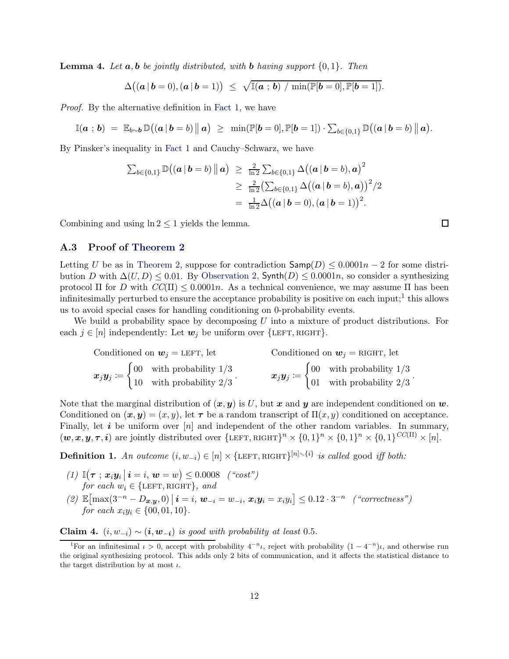**Lemma 4.** Let  $a, b$  be jointly distributed, with **b** having support  $\{0, 1\}$ . Then

$$
\Delta((\boldsymbol{a} \,|\, \boldsymbol{b} = 0), (\boldsymbol{a} \,|\, \boldsymbol{b} = 1)) \leq \sqrt{\mathbb{I}(\boldsymbol{a} \,;\, \boldsymbol{b}) \ / \min(\mathbb{P}[\boldsymbol{b} = 0], \mathbb{P}[\boldsymbol{b} = 1]).}
$$

Proof. By the alternative definition in [Fact 1,](#page-10-0) we have

$$
\mathbb{I}(\boldsymbol{a} \; ; \; \boldsymbol{b}) \; = \; \mathbb{E}_{b \sim \boldsymbol{b}} \, \mathbb{D}\big( (\boldsymbol{a} \, | \, \boldsymbol{b} = b) \, \big\| \, \boldsymbol{a} \big) \; \geq \; \min(\mathbb{P}[\boldsymbol{b} = 0], \mathbb{P}[\boldsymbol{b} = 1]) \cdot \sum_{b \in \{0,1\}} \mathbb{D}\big( (\boldsymbol{a} \, | \, \boldsymbol{b} = b) \, \big\| \, \boldsymbol{a} \big).
$$

By Pinsker's inequality in [Fact 1](#page-10-0) and Cauchy–Schwarz, we have

$$
\sum_{b \in \{0,1\}} \mathbb{D}((a | b = b) || a) \ge \frac{2}{\ln 2} \sum_{b \in \{0,1\}} \Delta((a | b = b), a)^2
$$
  
 
$$
\ge \frac{2}{\ln 2} (\sum_{b \in \{0,1\}} \Delta((a | b = b), a))^2 / 2
$$
  
=  $\frac{1}{\ln 2} \Delta((a | b = 0), (a | b = 1))^2$ .

Combining and using  $\ln 2 \leq 1$  yields the lemma.

### A.3 Proof of [Theorem 2](#page-9-0)

Letting U be as in [Theorem 2,](#page-9-0) suppose for contradiction  $\textsf{Samp}(D) \leq 0.0001n - 2$  for some distribution D with  $\Delta(U, D) \leq 0.01$ . By [Observation 2,](#page-3-0) Synth(D)  $\leq 0.0001n$ , so consider a synthesizing protocol Π for D with  $CC(\Pi) \leq 0.0001n$ . As a technical convenience, we may assume Π has been infinitesimally perturbed to ensure the acceptance probability is positive on each input;<sup>[1](#page-11-0)</sup> this allows us to avoid special cases for handling conditioning on 0-probability events.

We build a probability space by decomposing  $U$  into a mixture of product distributions. For each  $j \in [n]$  independently: Let  $w_j$  be uniform over  $\{\text{LEFT}, \text{RIGHT}\}.$ 

| Conditioned on $w_i =$ LEFT, let                                                                                                         |  | Conditioned on $w_j$ = RIGHT, let |  |                                                                                                                                         |
|------------------------------------------------------------------------------------------------------------------------------------------|--|-----------------------------------|--|-----------------------------------------------------------------------------------------------------------------------------------------|
| $\boldsymbol{x}_j \boldsymbol{y}_j := \begin{cases} 00 & \text{with probability } 1/3 \\ 10 & \text{with probability } 2/3 \end{cases}.$ |  |                                   |  | $\boldsymbol{x}_j \boldsymbol{y}_j := \begin{cases} 00 & \text{with probability } 1/3 \\ 01 & \text{with probability } 2/3 \end{cases}$ |
|                                                                                                                                          |  |                                   |  |                                                                                                                                         |

Note that the marginal distribution of  $(x, y)$  is U, but x and y are independent conditioned on w. Conditioned on  $(\mathbf{x}, \mathbf{y}) = (x, y)$ , let  $\tau$  be a random transcript of  $\Pi(x, y)$  conditioned on acceptance. Finally, let i be uniform over  $[n]$  and independent of the other random variables. In summary,  $(w, x, y, \tau, i)$  are jointly distributed over  $\{\text{LEFT}, \text{RIGHT}\}^n \times \{0, 1\}^n \times \{0, 1\}^n \times \{0, 1\}^{CC(\Pi)} \times [n].$ 

**Definition 1.** An outcome  $(i, w_{-i}) \in [n] \times {\text{LEFT}, \text{RIGHT}}^{\{n\} \setminus \{i\}}$  is called good iff both:

- (1)  $\mathbb{I}(\tau; x_i y_i | i = i, w = w) \leq 0.0008$  ("cost") for each  $w_i \in \{\text{LEFT}, \text{RIGHT}\}, \text{ and}$
- (2)  $\mathbb{E}[\max(3^{-n} D_{x,y}, 0) | i = i, w_{-i} = w_{-i}, x_i y_i = x_i y_i] \leq 0.12 \cdot 3^{-n}$  ("correctness") for each  $x_i y_i \in \{00, 01, 10\}.$

<span id="page-11-1"></span>Claim 4.  $(i, w_{-i}) \sim (i, w_{-i})$  is good with probability at least 0.5.

 $\Box$ 

.

<span id="page-11-0"></span><sup>&</sup>lt;sup>1</sup>For an infinitesimal  $\iota > 0$ , accept with probability  $4^{-n}\iota$ , reject with probability  $(1 - 4^{-n})\iota$ , and otherwise run the original synthesizing protocol. This adds only 2 bits of communication, and it affects the statistical distance to the target distribution by at most  $\iota$ .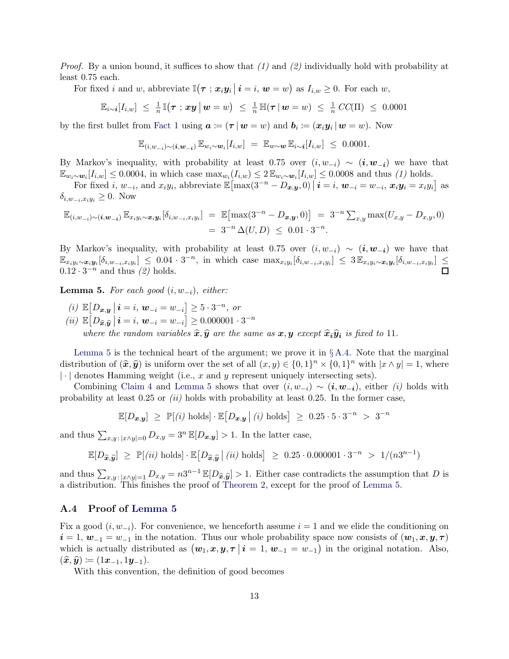*Proof.* By a union bound, it suffices to show that  $(1)$  and  $(2)$  individually hold with probability at least 0.75 each.

For fixed *i* and *w*, abbreviate  $\mathbb{I}(\tau ; x_i y_i \mid i = i, w = w)$  as  $I_{i,w} \geq 0$ . For each *w*,

$$
\mathbb{E}_{i\sim i}[I_{i,w}] \leq \frac{1}{n}\mathbb{I}(\boldsymbol{\tau} \; ; \; \boldsymbol{x} \boldsymbol{y} \;\vert\; \boldsymbol{w} = w) \;\leq\; \frac{1}{n}\mathbb{H}(\boldsymbol{\tau} \;\vert\; \boldsymbol{w} = w) \;\leq\; \frac{1}{n}\, CC(\Pi) \;\leq\; 0.0001
$$

by the first bullet from [Fact 1](#page-10-0) using  $a \coloneqq (\tau | w = w)$  and  $b_i \coloneqq (x_i y_i | w = w)$ . Now

$$
\mathbb{E}_{(i,w_{-i})\sim(i,w_{-i})}\,\mathbb{E}_{w_i\sim w_i}[I_{i,w}] = \mathbb{E}_{w\sim w}\,\mathbb{E}_{i\sim i}[I_{i,w}] \leq 0.0001.
$$

By Markov's inequality, with probability at least 0.75 over  $(i, w_{-i}) \sim (i, w_{-i})$  we have that  $\mathbb{E}_{w_i \sim w_i}[I_{i,w}] \leq 0.0004$ , in which case  $\max_{w_i}(I_{i,w}) \leq 2 \mathbb{E}_{w_i \sim w_i}[I_{i,w}] \leq 0.0008$  and thus (1) holds.

For fixed *i*,  $w_{-i}$ , and  $x_iy_i$ , abbreviate  $\mathbb{E} \left[ \max(3^{-n} - D_{\boldsymbol{x}, \boldsymbol{y}}, 0) \, \big| \, \boldsymbol{i} = i, \, \boldsymbol{w}_{-i} = w_{-i}, \, \boldsymbol{x}_i \boldsymbol{y}_i = x_i y_i \right]$  as  $\delta_{i,w_{-i},x_iy_i} \geq 0$ . Now

$$
\mathbb{E}_{(i,w_{-i})\sim(i,w_{-i})}\mathbb{E}_{x_iy_i\sim x_iy_i}[\delta_{i,w_{-i},x_iy_i}] = \mathbb{E}[\max(3^{-n}-D_{x,y},0)] = 3^{-n}\sum_{x,y} \max(U_{x,y}-D_{x,y},0)
$$
  
=  $3^{-n}\Delta(U,D) \leq 0.01 \cdot 3^{-n}$ .

By Markov's inequality, with probability at least 0.75 over  $(i, w_{-i}) \sim (i, w_{-i})$  we have that  $\mathbb{E}_{x_iy_i\sim x_iy_i}[\delta_{i,w_{-i},x_iy_i}] \leq 0.04 \cdot 3^{-n}$ , in which case  $\max_{x_iy_i}[\delta_{i,w_{-i},x_iy_i}] \leq 3\mathbb{E}_{x_iy_i\sim x_iy_i}[\delta_{i,w_{-i},x_iy_i}] \leq$  $0.12 \cdot 3^{-n}$  and thus  $(2)$  holds.

<span id="page-12-0"></span>**Lemma 5.** For each good  $(i, w_{-i})$ , either:

(*i*)  $\mathbb{E}[D_{x,y} | i = i, w_{-i} = w_{-i}] \ge 5 \cdot 3^{-n}, \text{ or}$  $(ii) \mathbb{E}\big[D_{\widehat{x},\widehat{y}}\big|\, \bm{i} = i, \, \bm{w}_{-i} = w_{-i}\big] \geq 0.000001 \cdot 3^{-n}$ where the random variables  $\hat{x}, \hat{y}$  are the same as  $x, y$  except  $\hat{x}_i \hat{y}_i$  is fixed to 11.

[Lemma 5](#page-12-0) is the technical heart of the argument; we prove it in  $\S A.4$ . Note that the marginal distribution of  $(\hat{x}, \hat{y})$  is uniform over the set of all  $(x, y) \in \{0, 1\}^n \times \{0, 1\}^n$  with  $|x \wedge y| = 1$ , where  $\lvert \cdot \rvert$  denotes Hamming weight (i.e., x and y represent uniquely intersecting sets).

Combining [Claim 4](#page-11-1) and [Lemma 5](#page-12-0) shows that over  $(i, w_{-i}) \sim (i, w_{-i})$ , either (i) holds with probability at least  $0.25$  or  $(ii)$  holds with probability at least  $0.25$ . In the former case,

$$
\mathbb{E}[D_{\boldsymbol{x},\boldsymbol{y}}] \ \geq \ \mathbb{P}[(i) \text{ holds}] \cdot \mathbb{E}\big[D_{\boldsymbol{x},\boldsymbol{y}} \,\big|\, (i) \text{ holds}\big] \ \geq \ 0.25 \cdot 5 \cdot 3^{-n} \ > \ 3^{-n}
$$

and thus  $\sum_{x,y : |x \wedge y|=0} D_{x,y} = 3^n \mathbb{E}[D_{x,y}] > 1$ . In the latter case,

$$
\mathbb{E}[D_{\widehat{\bm{x}}, \widehat{\bm{y}}}] \ \geq \ \mathbb{P}[(ii) \text{ holds}] \cdot \mathbb{E}\big[D_{\widehat{\bm{x}}, \widehat{\bm{y}}}\,\big|\, (ii) \text{ holds}\big] \ \geq \ 0.25 \cdot 0.000001 \cdot 3^{-n} \ > \ 1/(n3^{n-1})
$$

and thus  $\sum_{x,y : |x \wedge y|=1} D_{x,y} = n3^{n-1} \mathbb{E}[D_{\hat{x},\hat{y}}] > 1$ . Either case contradicts the assumption that D is a distribution. This finishes the proof of [Theorem 2,](#page-9-0) except for the proof of [Lemma 5.](#page-12-0)

#### <span id="page-12-1"></span>A.4 Proof of [Lemma 5](#page-12-0)

Fix a good  $(i, w_{-i})$ . For convenience, we henceforth assume  $i = 1$  and we elide the conditioning on  $i = 1, w_{-1} = w_{-1}$  in the notation. Thus our whole probability space now consists of  $(w_1, x, y, \tau)$ which is actually distributed as  $(w_1, x, y, \tau | i = 1, w_{-1} = w_{-1})$  in the original notation. Also,  $(\widehat{\boldsymbol{x}}, \widehat{\boldsymbol{y}}) \coloneqq (1\boldsymbol{x}_{-1}, 1\boldsymbol{y}_{-1}).$ 

With this convention, the definition of good becomes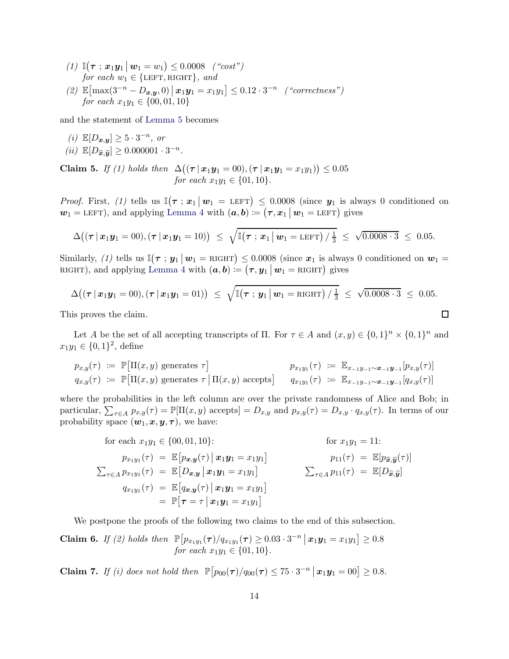- (1)  $\mathbb{I}(\tau; x_1y_1 | w_1 = w_1) \le 0.0008$  ("cost") for each  $w_1 \in \{\text{LEFT}, \text{RIGHT}\}, \text{ and}$
- (2)  $\mathbb{E}[\max(3^{-n} D_{x,y}, 0) | x_1y_1 = x_1y_1] \leq 0.12 \cdot 3^{-n}$  ("correctness") for each  $x_1y_1 \in \{00, 01, 10\}$

and the statement of [Lemma 5](#page-12-0) becomes

(*i*)  $\mathbb{E}[D_{x,y}] \ge 5 \cdot 3^{-n}$ , or  $(ii) \ \mathbb{E}[D_{\widehat{\boldsymbol{x}},\widehat{\boldsymbol{y}}}] \geq 0.000001\cdot 3^{-n}.$ 

<span id="page-13-0"></span>Claim 5. If (1) holds then  $\Delta((\tau | x_1 y_1 = 00), (\tau | x_1 y_1 = x_1 y_1)) \le 0.05$ for each  $x_1y_1 \in \{01, 10\}.$ 

*Proof.* First, (1) tells us  $\mathbb{I}(\tau; x_1 | w_1 = \text{LEFT}) \leq 0.0008$  (since  $y_1$  is always 0 conditioned on  $w_1 = \text{LEFT}$ ), and applying Lemma<sup>'</sup>4 with  $(a, b) := (\tau, x_1 \mid w_1 = \text{LEFT})$  gives

$$
\Delta((\tau | x_1 y_1 = 00), (\tau | x_1 y_1 = 10)) \leq \sqrt{\mathbb{I}(\tau | x_1 | w_1 = \text{LEFT}) / \frac{1}{3}} \leq \sqrt{0.0008 \cdot 3} \leq 0.05.
$$

Similarly, (1) tells us  $\mathbb{I}(\tau : y_1 \mid w_1 = \text{RIGHT}) \leq 0.0008$  (since  $x_1$  is always 0 conditioned on  $w_1 =$ RIGHT), and applying [Lemma 4](#page-10-1) with  $(a, b) := (\tau, y_1 \, | \, w_1 = \text{RIGHT})$  gives

$$
\Delta((\tau \,|\, \boldsymbol{x}_1 \boldsymbol{y}_1 = 00), (\tau \,|\, \boldsymbol{x}_1 \boldsymbol{y}_1 = 01)) \leq \sqrt{\mathbb{I}(\tau \,;\, \boldsymbol{y}_1 \,|\, \boldsymbol{w}_1 = \text{RIGHT}) / \frac{1}{3}} \leq \sqrt{0.0008 \cdot 3} \leq 0.05.
$$
\nis proves the claim.

This proves the claim.

Let A be the set of all accepting transcripts of  $\Pi$ . For  $\tau \in A$  and  $(x, y) \in \{0, 1\}^n \times \{0, 1\}^n$  and  $x_1y_1 \in \{0,1\}^2$ , define

$$
p_{x,y}(\tau) := \mathbb{P}[\Pi(x,y) \text{ generates } \tau] \qquad p_{x_1y_1}(\tau) := \mathbb{E}_{x_{-1}y_{-1} \sim x_{-1}}[p_{x,y}(\tau)]
$$
  
\n
$$
q_{x,y}(\tau) := \mathbb{P}[\Pi(x,y) \text{ generates } \tau \mid \Pi(x,y) \text{ accepts}] \qquad q_{x_1y_1}(\tau) := \mathbb{E}_{x_{-1}y_{-1} \sim x_{-1}}[q_{x,y}(\tau)]
$$

where the probabilities in the left column are over the private randomness of Alice and Bob; in particular,  $\sum_{\tau \in A} p_{x,y}(\tau) = \mathbb{P}[\Pi(x, y) \text{ accepts}] = D_{x,y} \text{ and } p_{x,y}(\tau) = D_{x,y} \cdot q_{x,y}(\tau)$ . In terms of our probability space  $(\mathbf{w}_1, \mathbf{x}, \mathbf{y}, \boldsymbol{\tau})$ , we have:

for each 
$$
x_1y_1 \in \{00, 01, 10\}
$$
:  
\nfor  $x_1y_1 = 11$ :  
\n $p_{x_1y_1}(\tau) = \mathbb{E}[p_{x,y}(\tau) | x_1y_1 = x_1y_1]$   
\n $\sum_{\tau \in A} p_{x_1y_1}(\tau) = \mathbb{E}[D_{x,y} | x_1y_1 = x_1y_1]$   
\n $q_{x_1y_1}(\tau) = \mathbb{E}[q_{x,y}(\tau) | x_1y_1 = x_1y_1]$   
\n $= \mathbb{P}[\tau = \tau | x_1y_1 = x_1y_1]$   
\n $\sum_{\tau \in A} p_{11}(\tau) = \mathbb{E}[D_{\hat{x},\hat{y}}]$ 

<span id="page-13-1"></span>We postpone the proofs of the following two claims to the end of this subsection.

**Claim 6.** If (2) holds then 
$$
\mathbb{P}[p_{x_1y_1}(\tau)/q_{x_1y_1}(\tau) \ge 0.03 \cdot 3^{-n} | \mathbf{x}_1\mathbf{y}_1 = x_1y_1] \ge 0.8
$$
  
for each  $x_1y_1 \in \{01, 10\}.$ 

<span id="page-13-2"></span>**Claim 7.** If (i) does not hold then  $\mathbb{P}\left[p_{00}(\tau)/q_{00}(\tau) \leq 75 \cdot 3^{-n} \,|\, \mathbf{x}_1 \mathbf{y}_1 = 00\right] \geq 0.8$ .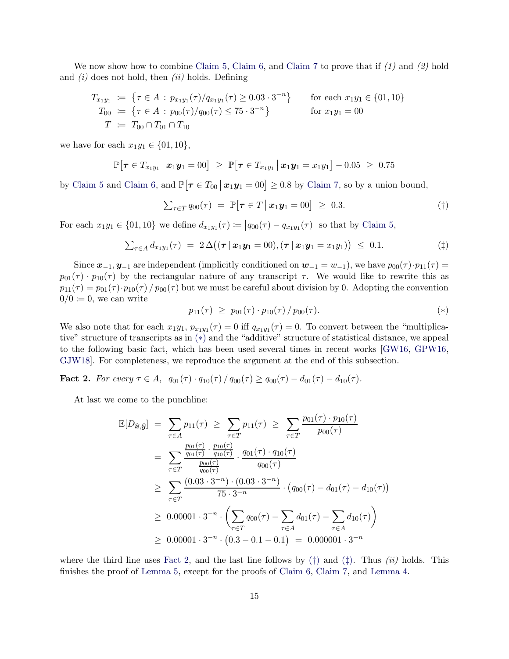We now show how to combine [Claim 5,](#page-13-0) [Claim 6,](#page-13-1) and [Claim 7](#page-13-2) to prove that if  $(1)$  and  $(2)$  hold and  $(i)$  does not hold, then  $(ii)$  holds. Defining

$$
T_{x_1y_1} := \{ \tau \in A : p_{x_1y_1}(\tau)/q_{x_1y_1}(\tau) \ge 0.03 \cdot 3^{-n} \} \quad \text{for each } x_1y_1 \in \{01, 10\}
$$
  
\n
$$
T_{00} := \{ \tau \in A : p_{00}(\tau)/q_{00}(\tau) \le 75 \cdot 3^{-n} \} \quad \text{for } x_1y_1 = 00
$$
  
\n
$$
T := T_{00} \cap T_{01} \cap T_{10}
$$

we have for each  $x_1y_1 \in \{01, 10\}$ ,

$$
\mathbb{P}[\boldsymbol{\tau} \in T_{x_1y_1} | \boldsymbol{x}_1\boldsymbol{y}_1 = 00] \geq \mathbb{P}[\boldsymbol{\tau} \in T_{x_1y_1} | \boldsymbol{x}_1\boldsymbol{y}_1 = x_1y_1] - 0.05 \geq 0.75
$$

by [Claim 5](#page-13-0) and [Claim 6,](#page-13-1) and  $\mathbb{P}[\tau \in T_{00} \mid \mathbf{x}_1 \mathbf{y}_1 = 00] \geq 0.8$  by [Claim 7,](#page-13-2) so by a union bound,

$$
\sum_{\tau \in T} q_{00}(\tau) = \mathbb{P}[\tau \in T \mid \boldsymbol{x}_1 \boldsymbol{y}_1 = 00] \geq 0.3. \tag{\dagger}
$$

For each  $x_1y_1 \in \{01, 10\}$  we define  $d_{x_1y_1}(\tau) := |q_{00}(\tau) - q_{x_1y_1}(\tau)|$  so that by [Claim 5,](#page-13-0)

$$
\sum_{\tau \in A} d_{x_1 y_1}(\tau) = 2 \Delta ((\tau | x_1 y_1 = 00), (\tau | x_1 y_1 = x_1 y_1)) \leq 0.1. \tag{\ddagger}
$$

Since  $x_{-1}, y_{-1}$  are independent (implicitly conditioned on  $w_{-1} = w_{-1}$ ), we have  $p_{00}(\tau) \cdot p_{11}(\tau) =$  $p_{01}(\tau) \cdot p_{10}(\tau)$  by the rectangular nature of any transcript  $\tau$ . We would like to rewrite this as  $p_{11}(\tau) = p_{01}(\tau) \cdot p_{10}(\tau) / p_{00}(\tau)$  but we must be careful about division by 0. Adopting the convention  $0/0 \coloneqq 0$ , we can write

<span id="page-14-3"></span><span id="page-14-2"></span><span id="page-14-0"></span>
$$
p_{11}(\tau) \ge p_{01}(\tau) \cdot p_{10}(\tau) / p_{00}(\tau).
$$
 (\*)

We also note that for each  $x_1y_1, p_{x_1y_1}(\tau) = 0$  iff  $q_{x_1y_1}(\tau) = 0$ . To convert between the "multiplicative" structure of transcripts as in [\(](#page-14-0)∗) and the "additive" structure of statistical distance, we appeal to the following basic fact, which has been used several times in recent works [\[GW16,](#page-19-3) [GPW16,](#page-19-4) [GJW18\]](#page-19-9). For completeness, we reproduce the argument at the end of this subsection.

<span id="page-14-1"></span>Fact 2. For every  $\tau \in A$ ,  $q_{01}(\tau) \cdot q_{10}(\tau) / q_{00}(\tau) \geq q_{00}(\tau) - d_{01}(\tau) - d_{10}(\tau)$ .

At last we come to the punchline:

$$
\mathbb{E}[D_{\widehat{\mathbf{x}},\widehat{\mathbf{y}}}] = \sum_{\tau \in A} p_{11}(\tau) \ge \sum_{\tau \in T} p_{11}(\tau) \ge \sum_{\tau \in T} \frac{p_{01}(\tau) \cdot p_{10}(\tau)}{p_{00}(\tau)}
$$
\n
$$
= \sum_{\tau \in T} \frac{\frac{p_{01}(\tau)}{q_{01}(\tau)} \cdot \frac{p_{10}(\tau)}{q_{10}(\tau)}}{\frac{p_{00}(\tau)}{q_{00}(\tau)}} \cdot \frac{q_{01}(\tau) \cdot q_{10}(\tau)}{q_{00}(\tau)}
$$
\n
$$
\ge \sum_{\tau \in T} \frac{(0.03 \cdot 3^{-n}) \cdot (0.03 \cdot 3^{-n})}{75 \cdot 3^{-n}} \cdot \left(q_{00}(\tau) - d_{01}(\tau) - d_{10}(\tau)\right)
$$
\n
$$
\ge 0.00001 \cdot 3^{-n} \cdot \left(\sum_{\tau \in T} q_{00}(\tau) - \sum_{\tau \in A} d_{01}(\tau) - \sum_{\tau \in A} d_{10}(\tau)\right)
$$
\n
$$
\ge 0.00001 \cdot 3^{-n} \cdot (0.3 - 0.1 - 0.1) = 0.000001 \cdot 3^{-n}
$$

where the third line uses [Fact 2,](#page-14-1) and the last line follows by  $(\dagger)$  $(\dagger)$  and  $(\dagger)$ . Thus *(ii)* holds. This finishes the proof of [Lemma 5,](#page-12-0) except for the proofs of [Claim 6,](#page-13-1) [Claim 7,](#page-13-2) and [Lemma 4.](#page-10-1)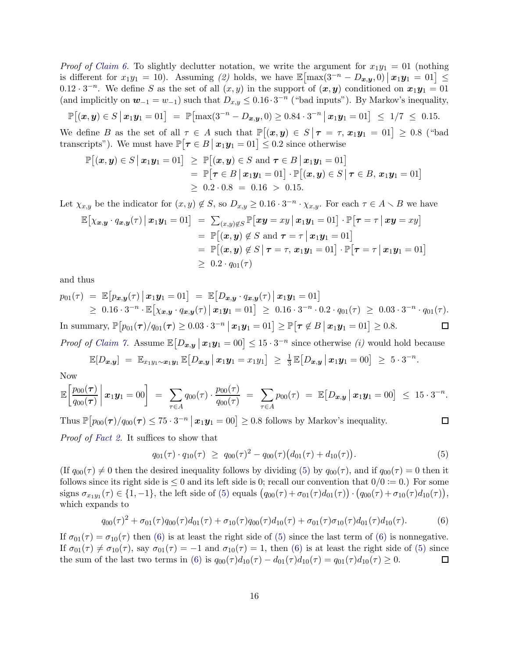*Proof of [Claim 6.](#page-13-1)* To slightly declutter notation, we write the argument for  $x_1y_1 = 01$  (nothing is different for  $x_1y_1 = 10$ ). Assuming (2) holds, we have  $\mathbb{E}[\max(3^{-n} - D_{x,y}, 0) | x_1y_1 = 01] \le$  $0.12 \cdot 3^{-n}$ . We define S as the set of all  $(x, y)$  in the support of  $(x, y)$  conditioned on  $x_1y_1 = 01$ (and implicitly on  $w_{-1} = w_{-1}$ ) such that  $D_{x,y} \leq 0.16 \cdot 3^{-n}$  ("bad inputs"). By Markov's inequality,

$$
\mathbb{P}[(\boldsymbol{x},\boldsymbol{y})\in S \,|\, \boldsymbol{x}_1\boldsymbol{y}_1=01] = \mathbb{P}[\max(3^{-n}-D_{\boldsymbol{x},\boldsymbol{y}},0)\geq 0.84\cdot 3^{-n} \,|\, \boldsymbol{x}_1\boldsymbol{y}_1=01] \leq 1/7 \leq 0.15.
$$

We define B as the set of all  $\tau \in A$  such that  $\mathbb{P}[(x,y) \in S | \tau = \tau, x_1y_1 = 01] \ge 0.8$  ("bad") transcripts"). We must have  $\mathbb{P}[\tau \in B | x_1 y_1 = 01] \leq 0.2$  since otherwise

$$
\mathbb{P}[(\boldsymbol{x},\boldsymbol{y})\in S | \boldsymbol{x}_1\boldsymbol{y}_1=01] \geq \mathbb{P}[(\boldsymbol{x},\boldsymbol{y})\in S \text{ and } \boldsymbol{\tau}\in B | \boldsymbol{x}_1\boldsymbol{y}_1=01] \n= \mathbb{P}[\boldsymbol{\tau}\in B | \boldsymbol{x}_1\boldsymbol{y}_1=01] \cdot \mathbb{P}[(\boldsymbol{x},\boldsymbol{y})\in S | \boldsymbol{\tau}\in B, \boldsymbol{x}_1\boldsymbol{y}_1=01] \n\geq 0.2 \cdot 0.8 = 0.16 > 0.15.
$$

Let  $\chi_{x,y}$  be the indicator for  $(x, y) \notin S$ , so  $D_{x,y} \ge 0.16 \cdot 3^{-n} \cdot \chi_{x,y}$ . For each  $\tau \in A \setminus B$  we have

$$
\mathbb{E}\big[\chi_{\boldsymbol{x},\boldsymbol{y}}\cdot q_{\boldsymbol{x},\boldsymbol{y}}(\tau)\,\big|\,\boldsymbol{x}_1\boldsymbol{y}_1=01\big] = \sum_{(\boldsymbol{x},\boldsymbol{y})\notin S} \mathbb{P}\big[\boldsymbol{x}\boldsymbol{y}=\boldsymbol{x}\boldsymbol{y}\,\big|\,\boldsymbol{x}_1\boldsymbol{y}_1=01\big]\cdot\mathbb{P}\big[\boldsymbol{\tau}=\tau\,\big|\,\boldsymbol{x}\boldsymbol{y}=\boldsymbol{x}\boldsymbol{y}\big] \n= \mathbb{P}\big[(\boldsymbol{x},\boldsymbol{y})\notin S \text{ and } \boldsymbol{\tau}=\tau\,\big|\,\boldsymbol{x}_1\boldsymbol{y}_1=01\big] \n= \mathbb{P}\big[(\boldsymbol{x},\boldsymbol{y})\notin S\,\big|\,\boldsymbol{\tau}=\tau,\,\boldsymbol{x}_1\boldsymbol{y}_1=01\big]\cdot\mathbb{P}\big[\boldsymbol{\tau}=\tau\,\big|\,\boldsymbol{x}_1\boldsymbol{y}_1=01\big] \n\geq 0.2\cdot q_{01}(\tau)
$$

and thus

$$
p_{01}(\tau) = \mathbb{E}\big[p_{x,y}(\tau) \, \big| \, x_1 y_1 = 01\big] = \mathbb{E}\big[D_{x,y} \cdot q_{x,y}(\tau) \, \big| \, x_1 y_1 = 01\big] \geq 0.16 \cdot 3^{-n} \cdot \mathbb{E}\big[\chi_{x,y} \cdot q_{x,y}(\tau) \, \big| \, x_1 y_1 = 01\big] \geq 0.16 \cdot 3^{-n} \cdot 0.2 \cdot q_{01}(\tau) \geq 0.03 \cdot 3^{-n} \cdot q_{01}(\tau).
$$

In summary,  $\mathbb{P}\big[p_{01}(\tau)/q_{01}(\tau) \ge 0.03 \cdot 3^{-n} \, \big| \, \boldsymbol{x}_1\boldsymbol{y}_1 = 01\big] \ge \mathbb{P}\big[\tau \not\in B \, \big| \, \boldsymbol{x}_1\boldsymbol{y}_1 = 01\big] \ge 0.8.$  $\Box$ *Proof of [Claim 7.](#page-13-2)* Assume  $\mathbb{E}[D_{x,y} | x_1y_1 = 00] \leq 15 \cdot 3^{-n}$  since otherwise *(i)* would hold because

$$
\mathbb{E}[D_{\boldsymbol{x},\boldsymbol{y}}] = \mathbb{E}_{x_1y_1\sim\boldsymbol{x}_1\boldsymbol{y}_1} \mathbb{E}[D_{\boldsymbol{x},\boldsymbol{y}} \,|\, \boldsymbol{x}_1\boldsymbol{y}_1 = x_1y_1] \geq \frac{1}{3}\mathbb{E}[D_{\boldsymbol{x},\boldsymbol{y}} \,|\, \boldsymbol{x}_1\boldsymbol{y}_1 = 00] \geq 5\cdot3^{-n}.
$$

Now

$$
\mathbb{E}\bigg[\frac{p_{00}(\tau)}{q_{00}(\tau)}\bigg|\,x_1\mathbf{y}_1=00\bigg] \;=\; \sum_{\tau\in A}q_{00}(\tau)\cdot\frac{p_{00}(\tau)}{q_{00}(\tau)} \;=\; \sum_{\tau\in A}p_{00}(\tau) \;=\; \mathbb{E}\big[D_{\mathbf{x},\mathbf{y}}\,\big|\, \mathbf{x}_1\mathbf{y}_1=00\big] \;\leq\; 15\cdot 3^{-n}.
$$

Thus  $\mathbb{P}\big[p_{00}(\tau)/q_{00}(\tau)\leq 75\cdot 3^{-n}\,\big|\, \boldsymbol{x}_1\boldsymbol{y}_1=00\big]\geq 0.8$  follows by Markov's inequality.

Proof of [Fact 2.](#page-14-1) It suffices to show that

<span id="page-15-0"></span>
$$
q_{01}(\tau) \cdot q_{10}(\tau) \ge q_{00}(\tau)^2 - q_{00}(\tau) \big(d_{01}(\tau) + d_{10}(\tau)\big). \tag{5}
$$

 $\Box$ 

(If  $q_{00}(\tau) \neq 0$  then the desired inequality follows by dividing [\(5\)](#page-15-0) by  $q_{00}(\tau)$ , and if  $q_{00}(\tau) = 0$  then it follows since its right side is  $\leq 0$  and its left side is 0; recall our convention that  $0/0 \coloneq 0$ .) For some signs  $\sigma_{x_1y_1}(\tau) \in \{1, -1\}$ , the left side of [\(5\)](#page-15-0) equals  $(q_{00}(\tau) + \sigma_{01}(\tau)d_{01}(\tau)) \cdot (q_{00}(\tau) + \sigma_{10}(\tau)d_{10}(\tau)),$ which expands to

<span id="page-15-1"></span>
$$
q_{00}(\tau)^2 + \sigma_{01}(\tau)q_{00}(\tau)d_{01}(\tau) + \sigma_{10}(\tau)q_{00}(\tau)d_{10}(\tau) + \sigma_{01}(\tau)\sigma_{10}(\tau)d_{01}(\tau)d_{10}(\tau).
$$
 (6)

If  $\sigma_{01}(\tau) = \sigma_{10}(\tau)$  then [\(6\)](#page-15-1) is at least the right side of [\(5\)](#page-15-0) since the last term of (6) is nonnegative. If  $\sigma_{01}(\tau) \neq \sigma_{10}(\tau)$ , say  $\sigma_{01}(\tau) = -1$  and  $\sigma_{10}(\tau) = 1$ , then [\(6\)](#page-15-1) is at least the right side of [\(5\)](#page-15-0) since<br>the sum of the last two terms in (6) is  $q_{00}(\tau)d_{10}(\tau) - d_{01}(\tau)d_{10}(\tau) = q_{01}(\tau)d_{10}(\tau) > 0$ . the sum of the last two terms in [\(6\)](#page-15-1) is  $q_{00}(\tau)d_{10}(\tau) - d_{01}(\tau)d_{10}(\tau) = q_{01}(\tau)d_{10}(\tau) \ge 0$ .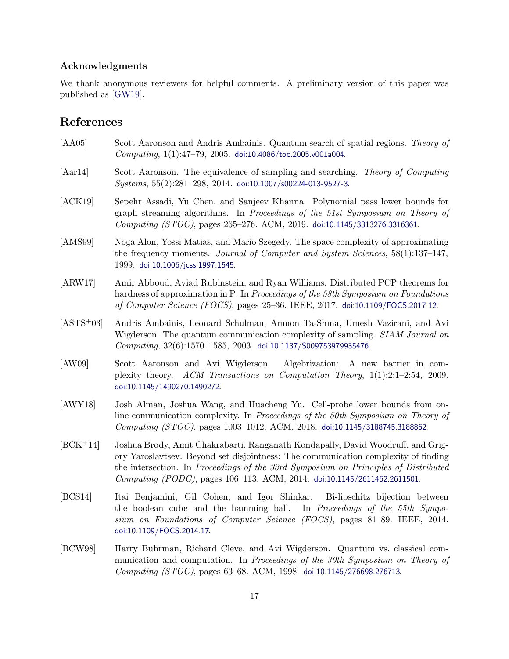# Acknowledgments

We thank anonymous reviewers for helpful comments. A preliminary version of this paper was published as [\[GW19\]](#page-19-10).

# References

- <span id="page-16-1"></span>[AA05] Scott Aaronson and Andris Ambainis. Quantum search of spatial regions. Theory of  $Computing, 1(1):47–79, 2005.$  [doi:10.4086/toc.2005.v001a004](http://dx.doi.org/10.4086/toc.2005.v001a004).
- [Aar14] Scott Aaronson. The equivalence of sampling and searching. Theory of Computing  $Systems, 55(2):281–298, 2014. doi:10.1007/s00224-013-9527-3.$  $Systems, 55(2):281–298, 2014. doi:10.1007/s00224-013-9527-3.$  $Systems, 55(2):281–298, 2014. doi:10.1007/s00224-013-9527-3.$
- <span id="page-16-6"></span>[ACK19] Sepehr Assadi, Yu Chen, and Sanjeev Khanna. Polynomial pass lower bounds for graph streaming algorithms. In Proceedings of the 51st Symposium on Theory of Computing (STOC), pages 265–276. ACM, 2019. [doi:10.1145/3313276.3316361](http://dx.doi.org/10.1145/3313276.3316361).
- <span id="page-16-2"></span>[AMS99] Noga Alon, Yossi Matias, and Mario Szegedy. The space complexity of approximating the frequency moments. Journal of Computer and System Sciences, 58(1):137–147, 1999. [doi:10.1006/jcss.1997.1545](http://dx.doi.org/10.1006/jcss.1997.1545).
- <span id="page-16-4"></span>[ARW17] Amir Abboud, Aviad Rubinstein, and Ryan Williams. Distributed PCP theorems for hardness of approximation in P. In Proceedings of the 58th Symposium on Foundations of Computer Science (FOCS), pages 25–36. IEEE, 2017. [doi:10.1109/FOCS.2017.12](http://dx.doi.org/10.1109/FOCS.2017.12).
- <span id="page-16-8"></span>[ASTS+03] Andris Ambainis, Leonard Schulman, Amnon Ta-Shma, Umesh Vazirani, and Avi Wigderson. The quantum communication complexity of sampling. *SIAM Journal on*  $Computing, 32(6):1570–1585, 2003.$  [doi:10.1137/S009753979935476](http://dx.doi.org/10.1137/S009753979935476).
- <span id="page-16-3"></span>[AW09] Scott Aaronson and Avi Wigderson. Algebrization: A new barrier in complexity theory. ACM Transactions on Computation Theory, 1(1):2:1–2:54, 2009. [doi:10.1145/1490270.1490272](http://dx.doi.org/10.1145/1490270.1490272).
- <span id="page-16-7"></span>[AWY18] Josh Alman, Joshua Wang, and Huacheng Yu. Cell-probe lower bounds from online communication complexity. In Proceedings of the 50th Symposium on Theory of Computing (STOC), pages 1003–1012. ACM, 2018. [doi:10.1145/3188745.3188862](http://dx.doi.org/10.1145/3188745.3188862).
- <span id="page-16-5"></span>[BCK+14] Joshua Brody, Amit Chakrabarti, Ranganath Kondapally, David Woodruff, and Grigory Yaroslavtsev. Beyond set disjointness: The communication complexity of finding the intersection. In Proceedings of the 33rd Symposium on Principles of Distributed Computing (PODC), pages 106–113. ACM, 2014. [doi:10.1145/2611462.2611501](http://dx.doi.org/10.1145/2611462.2611501).
- [BCS14] Itai Benjamini, Gil Cohen, and Igor Shinkar. Bi-lipschitz bijection between the boolean cube and the hamming ball. In Proceedings of the 55th Symposium on Foundations of Computer Science (FOCS), pages 81–89. IEEE, 2014. [doi:10.1109/FOCS.2014.17](http://dx.doi.org/10.1109/FOCS.2014.17).
- <span id="page-16-0"></span>[BCW98] Harry Buhrman, Richard Cleve, and Avi Wigderson. Quantum vs. classical communication and computation. In Proceedings of the 30th Symposium on Theory of Computing (STOC), pages 63–68. ACM, 1998. [doi:10.1145/276698.276713](http://dx.doi.org/10.1145/276698.276713).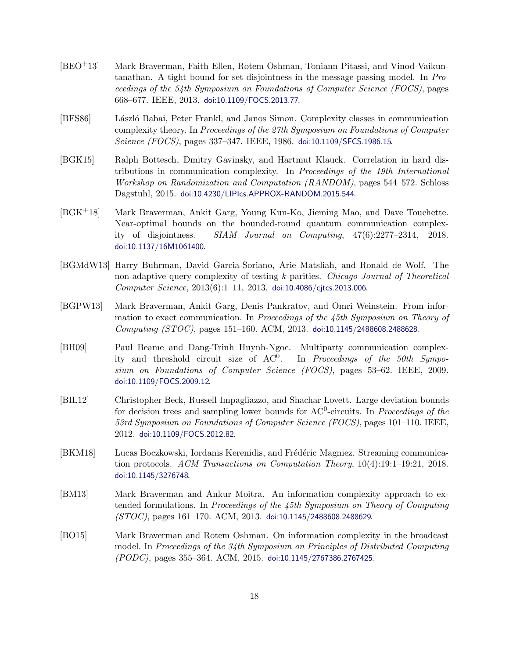- <span id="page-17-2"></span>[BEO+13] Mark Braverman, Faith Ellen, Rotem Oshman, Toniann Pitassi, and Vinod Vaikuntanathan. A tight bound for set disjointness in the message-passing model. In Proceedings of the 54th Symposium on Foundations of Computer Science (FOCS), pages 668–677. IEEE, 2013. [doi:10.1109/FOCS.2013.77](http://dx.doi.org/10.1109/FOCS.2013.77).
- <span id="page-17-0"></span>[BFS86] L´aszl´o Babai, Peter Frankl, and Janos Simon. Complexity classes in communication complexity theory. In Proceedings of the 27th Symposium on Foundations of Computer Science (FOCS), pages 337-347. IEEE, 1986. [doi:10.1109/SFCS.1986.15](http://dx.doi.org/10.1109/SFCS.1986.15).
- <span id="page-17-1"></span>[BGK15] Ralph Bottesch, Dmitry Gavinsky, and Hartmut Klauck. Correlation in hard distributions in communication complexity. In Proceedings of the 19th International Workshop on Randomization and Computation (RANDOM), pages 544–572. Schloss Dagstuhl, 2015. [doi:10.4230/LIPIcs.APPROX-RANDOM.2015.544](http://dx.doi.org/10.4230/LIPIcs.APPROX-RANDOM.2015.544).
- <span id="page-17-5"></span>[BGK+18] Mark Braverman, Ankit Garg, Young Kun-Ko, Jieming Mao, and Dave Touchette. Near-optimal bounds on the bounded-round quantum communication complexity of disjointness. SIAM Journal on Computing, 47(6):2277–2314, 2018. [doi:10.1137/16M1061400](http://dx.doi.org/10.1137/16M1061400).
- <span id="page-17-6"></span>[BGMdW13] Harry Buhrman, David Garcia-Soriano, Arie Matsliah, and Ronald de Wolf. The non-adaptive query complexity of testing k-parities. Chicago Journal of Theoretical Computer Science, 2013(6):1–11, 2013. [doi:10.4086/cjtcs.2013.006](http://dx.doi.org/10.4086/cjtcs.2013.006).
- <span id="page-17-7"></span>[BGPW13] Mark Braverman, Ankit Garg, Denis Pankratov, and Omri Weinstein. From information to exact communication. In Proceedings of the 45th Symposium on Theory of Computing (STOC), pages 151–160. ACM, 2013. [doi:10.1145/2488608.2488628](http://dx.doi.org/10.1145/2488608.2488628).
- <span id="page-17-4"></span>[BH09] Paul Beame and Dang-Trinh Huynh-Ngoc. Multiparty communication complexity and threshold circuit size of  $AC^0$ . . In Proceedings of the 50th Symposium on Foundations of Computer Science (FOCS), pages 53–62. IEEE, 2009. [doi:10.1109/FOCS.2009.12](http://dx.doi.org/10.1109/FOCS.2009.12).
- <span id="page-17-10"></span>[BIL12] Christopher Beck, Russell Impagliazzo, and Shachar Lovett. Large deviation bounds for decision trees and sampling lower bounds for  $AC^0$ -circuits. In *Proceedings of the* 53rd Symposium on Foundations of Computer Science (FOCS), pages 101–110. IEEE, 2012. [doi:10.1109/FOCS.2012.82](http://dx.doi.org/10.1109/FOCS.2012.82).
- <span id="page-17-9"></span>[BKM18] Lucas Boczkowski, Iordanis Kerenidis, and Frédéric Magniez. Streaming communication protocols. ACM Transactions on Computation Theory, 10(4):19:1–19:21, 2018. [doi:10.1145/3276748](http://dx.doi.org/10.1145/3276748).
- <span id="page-17-8"></span>[BM13] Mark Braverman and Ankur Moitra. An information complexity approach to extended formulations. In Proceedings of the 45th Symposium on Theory of Computing (STOC), pages 161–170. ACM, 2013. [doi:10.1145/2488608.2488629](http://dx.doi.org/10.1145/2488608.2488629).
- <span id="page-17-3"></span>[BO15] Mark Braverman and Rotem Oshman. On information complexity in the broadcast model. In Proceedings of the 34th Symposium on Principles of Distributed Computing (PODC), pages 355–364. ACM, 2015. [doi:10.1145/2767386.2767425](http://dx.doi.org/10.1145/2767386.2767425).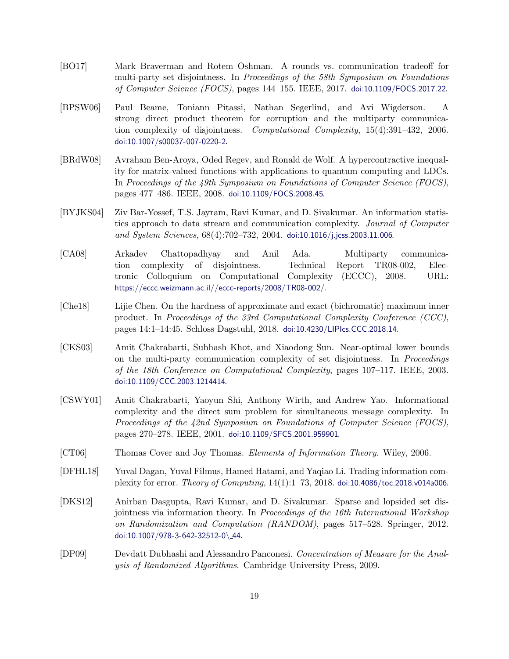- <span id="page-18-5"></span>[BO17] Mark Braverman and Rotem Oshman. A rounds vs. communication tradeoff for multi-party set disjointness. In Proceedings of the 58th Symposium on Foundations of Computer Science (FOCS), pages 144–155. IEEE, 2017. [doi:10.1109/FOCS.2017.22](http://dx.doi.org/10.1109/FOCS.2017.22).
- <span id="page-18-2"></span>[BPSW06] Paul Beame, Toniann Pitassi, Nathan Segerlind, and Avi Wigderson. A strong direct product theorem for corruption and the multiparty communication complexity of disjointness. Computational Complexity, 15(4):391–432, 2006. [doi:10.1007/s00037-007-0220-2](http://dx.doi.org/10.1007/s00037-007-0220-2).
- <span id="page-18-8"></span>[BRdW08] Avraham Ben-Aroya, Oded Regev, and Ronald de Wolf. A hypercontractive inequality for matrix-valued functions with applications to quantum computing and LDCs. In Proceedings of the 49th Symposium on Foundations of Computer Science (FOCS), pages 477–486. IEEE, 2008. [doi:10.1109/FOCS.2008.45](http://dx.doi.org/10.1109/FOCS.2008.45).
- <span id="page-18-0"></span>[BYJKS04] Ziv Bar-Yossef, T.S. Jayram, Ravi Kumar, and D. Sivakumar. An information statistics approach to data stream and communication complexity. Journal of Computer and System Sciences, 68(4):702–732, 2004. [doi:10.1016/j.jcss.2003.11.006](http://dx.doi.org/10.1016/j.jcss.2003.11.006).
- <span id="page-18-3"></span>[CA08] Arkadev Chattopadhyay and Anil Ada. Multiparty communication complexity of disjointness. Technical Report TR08-002, Electronic Colloquium on Computational Complexity (ECCC), 2008. URL: <https://eccc.weizmann.ac.il//eccc-reports/2008/TR08-002/>.
- <span id="page-18-4"></span>[Che18] Lijie Chen. On the hardness of approximate and exact (bichromatic) maximum inner product. In Proceedings of the 33rd Computational Complexity Conference (CCC), pages 14:1–14:45. Schloss Dagstuhl, 2018. [doi:10.4230/LIPIcs.CCC.2018.14](http://dx.doi.org/10.4230/LIPIcs.CCC.2018.14).
- <span id="page-18-1"></span>[CKS03] Amit Chakrabarti, Subhash Khot, and Xiaodong Sun. Near-optimal lower bounds on the multi-party communication complexity of set disjointness. In Proceedings of the 18th Conference on Computational Complexity, pages 107–117. IEEE, 2003. [doi:10.1109/CCC.2003.1214414](http://dx.doi.org/10.1109/CCC.2003.1214414).
- <span id="page-18-9"></span>[CSWY01] Amit Chakrabarti, Yaoyun Shi, Anthony Wirth, and Andrew Yao. Informational complexity and the direct sum problem for simultaneous message complexity. In Proceedings of the 42nd Symposium on Foundations of Computer Science (FOCS), pages 270–278. IEEE, 2001. [doi:10.1109/SFCS.2001.959901](http://dx.doi.org/10.1109/SFCS.2001.959901).
- <span id="page-18-10"></span>[CT06] Thomas Cover and Joy Thomas. Elements of Information Theory. Wiley, 2006.
- <span id="page-18-7"></span>[DFHL18] Yuval Dagan, Yuval Filmus, Hamed Hatami, and Yaqiao Li. Trading information complexity for error. Theory of Computing, 14(1):1–73, 2018. [doi:10.4086/toc.2018.v014a006](http://dx.doi.org/10.4086/toc.2018.v014a006).
- <span id="page-18-6"></span>[DKS12] Anirban Dasgupta, Ravi Kumar, and D. Sivakumar. Sparse and lopsided set disjointness via information theory. In Proceedings of the 16th International Workshop on Randomization and Computation (RANDOM), pages 517–528. Springer, 2012. [doi:10.1007/978-3-642-32512-0](http://dx.doi.org/10.1007/978-3-642-32512-0_44)\ 44.
- <span id="page-18-11"></span>[DP09] Devdatt Dubhashi and Alessandro Panconesi. Concentration of Measure for the Analysis of Randomized Algorithms. Cambridge University Press, 2009.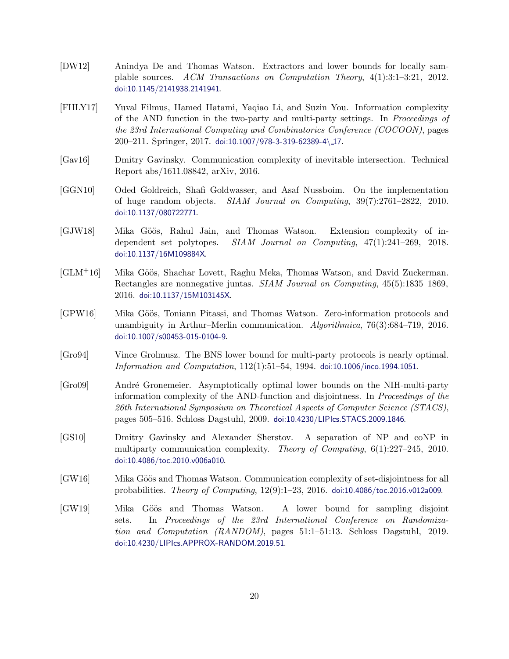- <span id="page-19-7"></span>[DW12] Anindya De and Thomas Watson. Extractors and lower bounds for locally samplable sources. ACM Transactions on Computation Theory, 4(1):3:1–3:21, 2012. [doi:10.1145/2141938.2141941](http://dx.doi.org/10.1145/2141938.2141941).
- <span id="page-19-5"></span>[FHLY17] Yuval Filmus, Hamed Hatami, Yaqiao Li, and Suzin You. Information complexity of the AND function in the two-party and multi-party settings. In Proceedings of the 23rd International Computing and Combinatorics Conference (COCOON), pages 200–211. Springer, 2017. [doi:10.1007/978-3-319-62389-4](http://dx.doi.org/10.1007/978-3-319-62389-4_17)\ 17.
- <span id="page-19-6"></span>[Gav16] Dmitry Gavinsky. Communication complexity of inevitable intersection. Technical Report abs/1611.08842, arXiv, 2016.
- [GGN10] Oded Goldreich, Shafi Goldwasser, and Asaf Nussboim. On the implementation of huge random objects. SIAM Journal on Computing, 39(7):2761–2822, 2010. [doi:10.1137/080722771](http://dx.doi.org/10.1137/080722771).
- <span id="page-19-9"></span>[GJW18] Mika Göös, Rahul Jain, and Thomas Watson. Extension complexity of independent set polytopes. SIAM Journal on Computing, 47(1):241–269, 2018. [doi:10.1137/16M109884X](http://dx.doi.org/10.1137/16M109884X).
- <span id="page-19-8"></span>[GLM<sup>+</sup>16] Mika Göös, Shachar Lovett, Raghu Meka, Thomas Watson, and David Zuckerman. Rectangles are nonnegative juntas. SIAM Journal on Computing, 45(5):1835–1869, 2016. [doi:10.1137/15M103145X](http://dx.doi.org/10.1137/15M103145X).
- <span id="page-19-4"></span>[GPW16] Mika Göös, Toniann Pitassi, and Thomas Watson. Zero-information protocols and unambiguity in Arthur–Merlin communication. Algorithmica, 76(3):684–719, 2016. [doi:10.1007/s00453-015-0104-9](http://dx.doi.org/10.1007/s00453-015-0104-9).
- <span id="page-19-1"></span>[Gro94] Vince Grolmusz. The BNS lower bound for multi-party protocols is nearly optimal. Information and Computation, 112(1):51–54, 1994. [doi:10.1006/inco.1994.1051](http://dx.doi.org/10.1006/inco.1994.1051).
- <span id="page-19-0"></span>[Gro09] Andr´e Gronemeier. Asymptotically optimal lower bounds on the NIH-multi-party information complexity of the AND-function and disjointness. In Proceedings of the 26th International Symposium on Theoretical Aspects of Computer Science (STACS), pages 505–516. Schloss Dagstuhl, 2009. [doi:10.4230/LIPIcs.STACS.2009.1846](http://dx.doi.org/10.4230/LIPIcs.STACS.2009.1846).
- <span id="page-19-2"></span>[GS10] Dmitry Gavinsky and Alexander Sherstov. A separation of NP and coNP in multiparty communication complexity. Theory of Computing, 6(1):227–245, 2010. [doi:10.4086/toc.2010.v006a010](http://dx.doi.org/10.4086/toc.2010.v006a010).
- <span id="page-19-3"></span>[GW16] Mika Göös and Thomas Watson. Communication complexity of set-disjointness for all probabilities. Theory of Computing, 12(9):1–23, 2016. [doi:10.4086/toc.2016.v012a009](http://dx.doi.org/10.4086/toc.2016.v012a009).
- <span id="page-19-10"></span>[GW19] Mika Göös and Thomas Watson. A lower bound for sampling disjoint sets. In Proceedings of the 23rd International Conference on Randomization and Computation (RANDOM), pages 51:1–51:13. Schloss Dagstuhl, 2019. [doi:10.4230/LIPIcs.APPROX-RANDOM.2019.51](http://dx.doi.org/10.4230/LIPIcs.APPROX-RANDOM.2019.51).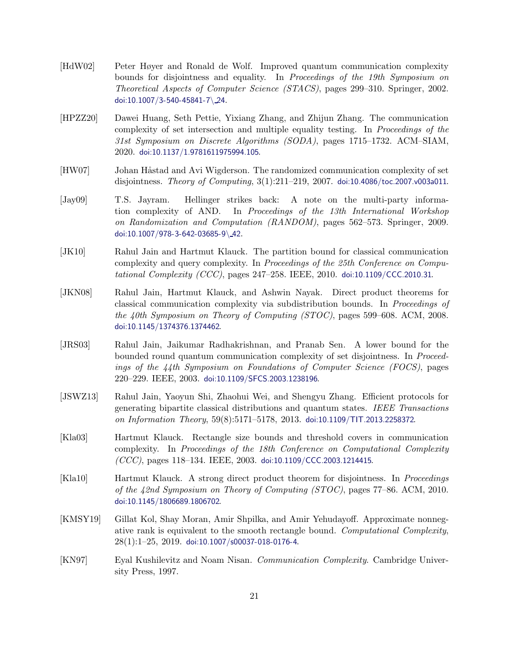- <span id="page-20-0"></span>[HdW02] Peter Høyer and Ronald de Wolf. Improved quantum communication complexity bounds for disjointness and equality. In Proceedings of the 19th Symposium on Theoretical Aspects of Computer Science (STACS), pages 299–310. Springer, 2002. [doi:10.1007/3-540-45841-7](http://dx.doi.org/10.1007/3-540-45841-7_24)\ 24.
- <span id="page-20-5"></span>[HPZZ20] Dawei Huang, Seth Pettie, Yixiang Zhang, and Zhijun Zhang. The communication complexity of set intersection and multiple equality testing. In Proceedings of the 31st Symposium on Discrete Algorithms (SODA), pages 1715–1732. ACM–SIAM, 2020. [doi:10.1137/1.9781611975994.105](http://dx.doi.org/10.1137/1.9781611975994.105).
- <span id="page-20-4"></span>[HW07] Johan Håstad and Avi Wigderson. The randomized communication complexity of set disjointness. Theory of Computing, 3(1):211–219, 2007. [doi:10.4086/toc.2007.v003a011](http://dx.doi.org/10.4086/toc.2007.v003a011).
- <span id="page-20-1"></span>[Jay09] T.S. Jayram. Hellinger strikes back: A note on the multi-party information complexity of AND. In Proceedings of the 13th International Workshop on Randomization and Computation (RANDOM), pages 562–573. Springer, 2009. [doi:10.1007/978-3-642-03685-9](http://dx.doi.org/10.1007/978-3-642-03685-9_42)\ 42.
- <span id="page-20-8"></span>[JK10] Rahul Jain and Hartmut Klauck. The partition bound for classical communication complexity and query complexity. In Proceedings of the 25th Conference on Computational Complexity (CCC), pages  $247-258$ . IEEE,  $2010$ . [doi:10.1109/CCC.2010.31](http://dx.doi.org/10.1109/CCC.2010.31).
- <span id="page-20-6"></span>[JKN08] Rahul Jain, Hartmut Klauck, and Ashwin Nayak. Direct product theorems for classical communication complexity via subdistribution bounds. In Proceedings of the 40th Symposium on Theory of Computing  $(TOC)$ , pages 599–608. ACM, 2008. [doi:10.1145/1374376.1374462](http://dx.doi.org/10.1145/1374376.1374462).
- <span id="page-20-3"></span>[JRS03] Rahul Jain, Jaikumar Radhakrishnan, and Pranab Sen. A lower bound for the bounded round quantum communication complexity of set disjointness. In Proceedings of the  $\lambda$ th Symposium on Foundations of Computer Science (FOCS), pages 220–229. IEEE, 2003. [doi:10.1109/SFCS.2003.1238196](http://dx.doi.org/10.1109/SFCS.2003.1238196).
- [JSWZ13] Rahul Jain, Yaoyun Shi, Zhaohui Wei, and Shengyu Zhang. Efficient protocols for generating bipartite classical distributions and quantum states. IEEE Transactions on Information Theory, 59(8):5171–5178, 2013. [doi:10.1109/TIT.2013.2258372](http://dx.doi.org/10.1109/TIT.2013.2258372).
- <span id="page-20-2"></span>[Kla03] Hartmut Klauck. Rectangle size bounds and threshold covers in communication complexity. In Proceedings of the 18th Conference on Computational Complexity  $(CCC)$ , pages 118–134. IEEE, 2003. [doi:10.1109/CCC.2003.1214415](http://dx.doi.org/10.1109/CCC.2003.1214415).
- <span id="page-20-7"></span>[Kla10] Hartmut Klauck. A strong direct product theorem for disjointness. In Proceedings of the 42nd Symposium on Theory of Computing (STOC), pages 77–86. ACM, 2010. [doi:10.1145/1806689.1806702](http://dx.doi.org/10.1145/1806689.1806702).
- <span id="page-20-9"></span>[KMSY19] Gillat Kol, Shay Moran, Amir Shpilka, and Amir Yehudayoff. Approximate nonnegative rank is equivalent to the smooth rectangle bound. Computational Complexity,  $28(1):1-25$ ,  $2019$ . [doi:10.1007/s00037-018-0176-4](http://dx.doi.org/10.1007/s00037-018-0176-4).
- <span id="page-20-10"></span>[KN97] Eyal Kushilevitz and Noam Nisan. Communication Complexity. Cambridge University Press, 1997.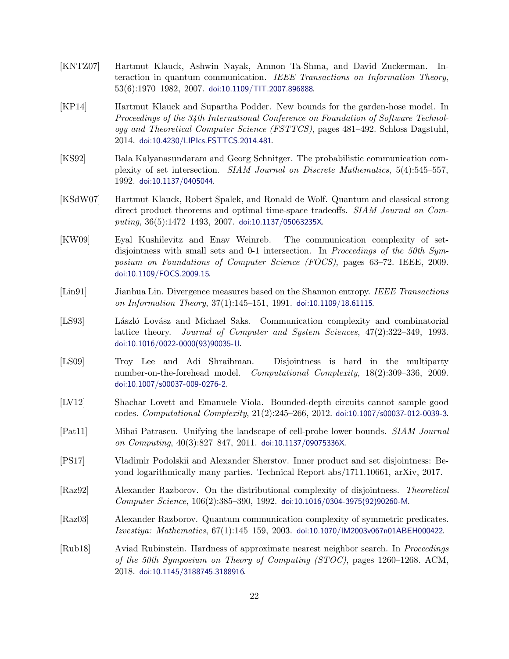- <span id="page-21-6"></span>[KNTZ07] Hartmut Klauck, Ashwin Nayak, Amnon Ta-Shma, and David Zuckerman. Interaction in quantum communication. IEEE Transactions on Information Theory,  $53(6):1970-1982, 2007.$  [doi:10.1109/TIT.2007.896888](http://dx.doi.org/10.1109/TIT.2007.896888).
- <span id="page-21-9"></span>[KP14] Hartmut Klauck and Supartha Podder. New bounds for the garden-hose model. In Proceedings of the 34th International Conference on Foundation of Software Technology and Theoretical Computer Science (FSTTCS), pages 481–492. Schloss Dagstuhl, 2014. [doi:10.4230/LIPIcs.FSTTCS.2014.481](http://dx.doi.org/10.4230/LIPIcs.FSTTCS.2014.481).
- <span id="page-21-0"></span>[KS92] Bala Kalyanasundaram and Georg Schnitger. The probabilistic communication complexity of set intersection. SIAM Journal on Discrete Mathematics, 5(4):545–557, 1992. [doi:10.1137/0405044](http://dx.doi.org/10.1137/0405044).
- <span id="page-21-10"></span>[KSdW07] Hartmut Klauck, Robert Spalek, and Ronald de Wolf. Quantum and classical strong direct product theorems and optimal time-space tradeoffs. SIAM Journal on Computing,  $36(5):1472-1493$ ,  $2007$ . [doi:10.1137/05063235X](http://dx.doi.org/10.1137/05063235X).
- <span id="page-21-7"></span>[KW09] Eyal Kushilevitz and Enav Weinreb. The communication complexity of setdisjointness with small sets and 0-1 intersection. In Proceedings of the 50th Symposium on Foundations of Computer Science (FOCS), pages 63–72. IEEE, 2009. [doi:10.1109/FOCS.2009.15](http://dx.doi.org/10.1109/FOCS.2009.15).
- <span id="page-21-12"></span>[Lin91] Jianhua Lin. Divergence measures based on the Shannon entropy. IEEE Transactions on Information Theory,  $37(1):145-151$ , 1991. [doi:10.1109/18.61115](http://dx.doi.org/10.1109/18.61115).
- <span id="page-21-11"></span>[LS93] László Lovász and Michael Saks. Communication complexity and combinatorial lattice theory. Journal of Computer and System Sciences, 47(2):322–349, 1993. [doi:10.1016/0022-0000\(93\)90035-U](http://dx.doi.org/10.1016/0022-0000(93)90035-U).
- <span id="page-21-3"></span>[LS09] Troy Lee and Adi Shraibman. Disjointness is hard in the multiparty number-on-the-forehead model. Computational Complexity, 18(2):309–336, 2009. [doi:10.1007/s00037-009-0276-2](http://dx.doi.org/10.1007/s00037-009-0276-2).
- [LV12] Shachar Lovett and Emanuele Viola. Bounded-depth circuits cannot sample good codes. Computational Complexity, 21(2):245–266, 2012. [doi:10.1007/s00037-012-0039-3](http://dx.doi.org/10.1007/s00037-012-0039-3).
- <span id="page-21-8"></span>[Pat11] Mihai Patrascu. Unifying the landscape of cell-probe lower bounds. SIAM Journal on Computing,  $40(3):827-847$ ,  $2011$ . [doi:10.1137/09075336X](http://dx.doi.org/10.1137/09075336X).
- <span id="page-21-4"></span>[PS17] Vladimir Podolskii and Alexander Sherstov. Inner product and set disjointness: Beyond logarithmically many parties. Technical Report abs/1711.10661, arXiv, 2017.
- <span id="page-21-1"></span>[Raz92] Alexander Razborov. On the distributional complexity of disjointness. Theoretical Computer Science, 106(2):385–390, 1992. [doi:10.1016/0304-3975\(92\)90260-M](http://dx.doi.org/10.1016/0304-3975(92)90260-M).
- <span id="page-21-2"></span>[Raz03] Alexander Razborov. Quantum communication complexity of symmetric predicates. Izvestiya: Mathematics, 67(1):145–159, 2003. [doi:10.1070/IM2003v067n01ABEH000422](http://dx.doi.org/10.1070/IM2003v067n01ABEH000422).
- <span id="page-21-5"></span>[Rub18] Aviad Rubinstein. Hardness of approximate nearest neighbor search. In Proceedings of the 50th Symposium on Theory of Computing  $STOC$ , pages 1260–1268. ACM, 2018. [doi:10.1145/3188745.3188916](http://dx.doi.org/10.1145/3188745.3188916).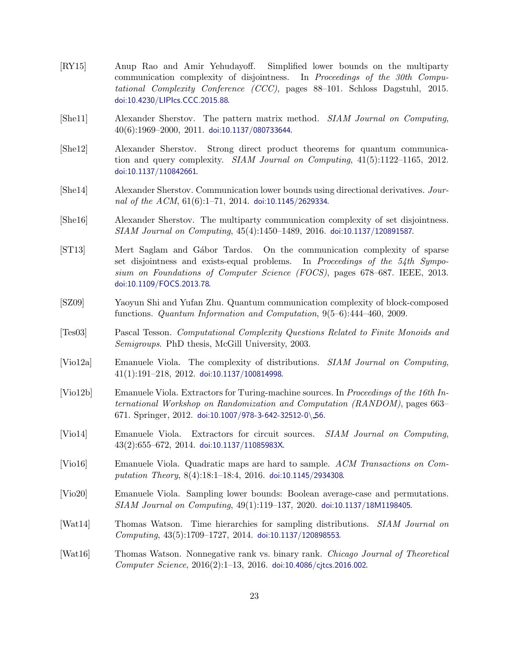- <span id="page-22-5"></span>[RY15] Anup Rao and Amir Yehudayoff. Simplified lower bounds on the multiparty communication complexity of disjointness. In Proceedings of the 30th Computational Complexity Conference (CCC), pages 88–101. Schloss Dagstuhl, 2015. [doi:10.4230/LIPIcs.CCC.2015.88](http://dx.doi.org/10.4230/LIPIcs.CCC.2015.88).
- <span id="page-22-0"></span>[She11] Alexander Sherstov. The pattern matrix method. SIAM Journal on Computing,  $40(6):1969-2000, 2011.$  [doi:10.1137/080733644](http://dx.doi.org/10.1137/080733644).
- <span id="page-22-7"></span>[She12] Alexander Sherstov. Strong direct product theorems for quantum communication and query complexity. *SIAM Journal on Computing*,  $41(5):1122-1165$ ,  $2012$ . [doi:10.1137/110842661](http://dx.doi.org/10.1137/110842661).
- <span id="page-22-4"></span>[She14] Alexander Sherstov. Communication lower bounds using directional derivatives. Journal of the  $ACM$ ,  $61(6):1-71$ ,  $2014$ . [doi:10.1145/2629334](http://dx.doi.org/10.1145/2629334).
- <span id="page-22-3"></span>[She16] Alexander Sherstov. The multiparty communication complexity of set disjointness. SIAM Journal on Computing, 45(4):1450–1489, 2016. [doi:10.1137/120891587](http://dx.doi.org/10.1137/120891587).
- <span id="page-22-6"></span>[ST13] Mert Saglam and Gábor Tardos. On the communication complexity of sparse set disjointness and exists-equal problems. In Proceedings of the 54th Symposium on Foundations of Computer Science (FOCS), pages 678–687. IEEE, 2013. [doi:10.1109/FOCS.2013.78](http://dx.doi.org/10.1109/FOCS.2013.78).
- <span id="page-22-1"></span>[SZ09] Yaoyun Shi and Yufan Zhu. Quantum communication complexity of block-composed functions. Quantum Information and Computation, 9(5–6):444–460, 2009.
- <span id="page-22-2"></span>[Tes03] Pascal Tesson. Computational Complexity Questions Related to Finite Monoids and Semigroups. PhD thesis, McGill University, 2003.
- [Vio12a] Emanuele Viola. The complexity of distributions. SIAM Journal on Computing,  $41(1):191-218$ ,  $2012$ . [doi:10.1137/100814998](http://dx.doi.org/10.1137/100814998).
- [Vio12b] Emanuele Viola. Extractors for Turing-machine sources. In Proceedings of the 16th International Workshop on Randomization and Computation (RANDOM), pages 663– 671. Springer, 2012. [doi:10.1007/978-3-642-32512-0](http://dx.doi.org/10.1007/978-3-642-32512-0_56)\ 56.
- [Vio14] Emanuele Viola. Extractors for circuit sources. SIAM Journal on Computing, 43(2):655–672, 2014. [doi:10.1137/11085983X](http://dx.doi.org/10.1137/11085983X).
- [Vio16] Emanuele Viola. Quadratic maps are hard to sample. ACM Transactions on Computation Theory, 8(4):18:1–18:4, 2016. [doi:10.1145/2934308](http://dx.doi.org/10.1145/2934308).
- <span id="page-22-8"></span>[Vio20] Emanuele Viola. Sampling lower bounds: Boolean average-case and permutations. SIAM Journal on Computing, 49(1):119–137, 2020. [doi:10.1137/18M1198405](http://dx.doi.org/10.1137/18M1198405).
- [Wat14] Thomas Watson. Time hierarchies for sampling distributions. SIAM Journal on Computing, 43(5):1709–1727, 2014. [doi:10.1137/120898553](http://dx.doi.org/10.1137/120898553).
- [Wat16] Thomas Watson. Nonnegative rank vs. binary rank. Chicago Journal of Theoretical  $Computer\, Science, 2016(2):1-13, 2016.$  [doi:10.4086/cjtcs.2016.002](http://dx.doi.org/10.4086/cjtcs.2016.002).